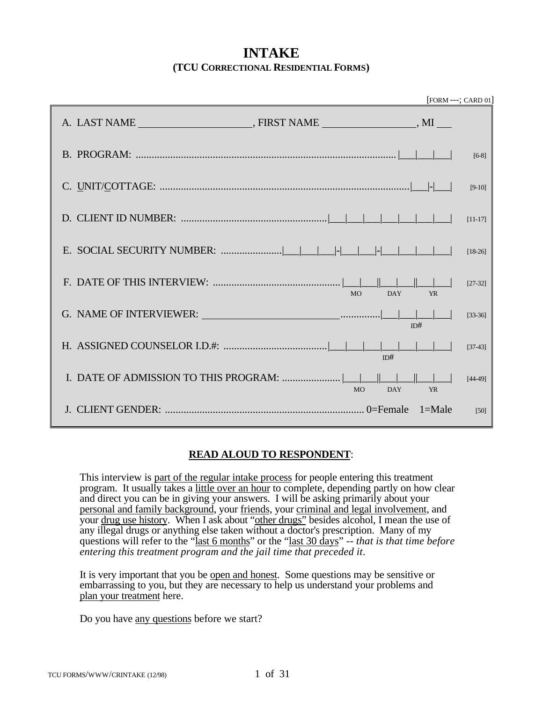# **INTAKE (TCU CORRECTIONAL RESIDENTIAL FORMS)**

|                         | $[FORM --; CARD 01]$ |           |
|-------------------------|----------------------|-----------|
|                         |                      |           |
|                         |                      | $[6-8]$   |
|                         |                      | $[9-10]$  |
|                         |                      | $[11-17]$ |
|                         |                      | $[18-26]$ |
| <b>MO</b><br>DAY        | <b>YR</b>            | $[27-32]$ |
|                         | ID#                  | $[33-36]$ |
| ID#                     |                      | $[37-43]$ |
| <b>DAY</b><br><b>MO</b> | <b>YR</b>            | $[44-49]$ |
|                         |                      | [50]      |

### **READ ALOUD TO RESPONDENT**:

This interview is part of the regular intake process for people entering this treatment program. It usually takes a little over an hour to complete, depending partly on how clear and direct you can be in giving your answers. I will be asking primarily about your personal and family background, your friends, your criminal and legal involvement, and your drug use history. When I ask about "other drugs" besides alcohol, I mean the use of any illegal drugs or anything else taken without a doctor's prescription. Many of my questions will refer to the "<u>last 6 months</u>" or the "last 30 days" -- that is that time before *entering this treatment program and the jail time that preceded it*.

It is very important that you be open and honest. Some questions may be sensitive or embarrassing to you, but they are necessary to help us understand your problems and plan your treatment here.

Do you have any questions before we start?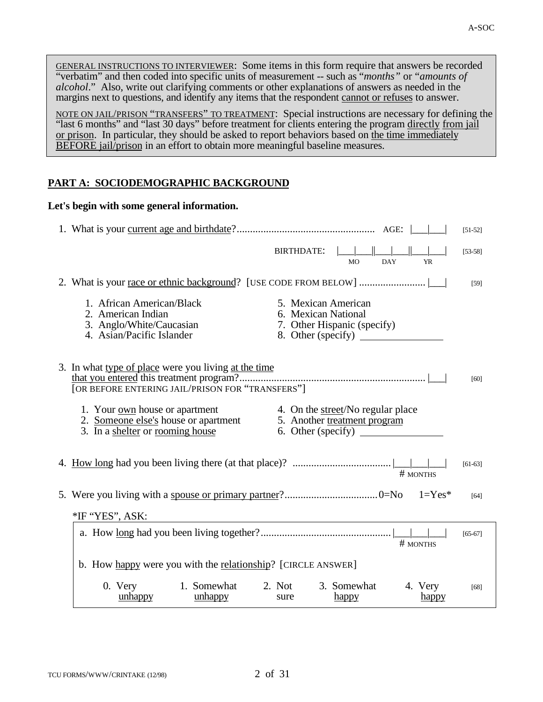GENERAL INSTRUCTIONS TO INTERVIEWER: Some items in this form require that answers be recorded "verbatim" and then coded into specific units of measurement -- such as "*months"* or "*amounts of alcohol*." Also, write out clarifying comments or other explanations of answers as needed in the margins next to questions, and identify any items that the respondent cannot or refuses to answer.

NOTE ON JAIL/PRISON "TRANSFERS" TO TREATMENT: Special instructions are necessary for defining the "last 6 months" and "last 30 days" before treatment for clients entering the program directly from jail or prison. In particular, they should be asked to report behaviors based on the time immediately BEFORE jail/prison in an effort to obtain more meaningful baseline measures.

# **PART A: SOCIODEMOGRAPHIC BACKGROUND**

## **Let's begin with some general information.**

|                                                                                                                                                                                                                                                                                            | $[51-52]$ |
|--------------------------------------------------------------------------------------------------------------------------------------------------------------------------------------------------------------------------------------------------------------------------------------------|-----------|
| BIRTHDATE:<br><b>DAY</b><br><b>MO</b><br><b>YR</b>                                                                                                                                                                                                                                         | $[53-58]$ |
|                                                                                                                                                                                                                                                                                            | $[59]$    |
| 1. African American/Black<br>5. Mexican American<br>2. American Indian<br>6. Mexican National<br>3. Anglo/White/Caucasian<br>7. Other Hispanic (specify)<br>4. Asian/Pacific Islander<br>8. Other (specify)                                                                                |           |
| 3. In what type of place were you living at the time<br>[OR BEFORE ENTERING JAIL/PRISON FOR "TRANSFERS"]                                                                                                                                                                                   | [60]      |
| 1. Your <u>own</u> house or apartment<br>2. <u>Someone else's</u> house or apartment<br>3. In a <u>shelter</u> or <u>rooming house</u><br>4. On the street/No regular place<br>5. Another treatment program<br>3. In a shelter or rooming house<br>6. Other (specify) $\frac{1}{\sqrt{2}}$ |           |
| # MONTHS                                                                                                                                                                                                                                                                                   | $[61-63]$ |
|                                                                                                                                                                                                                                                                                            | [64]      |
| *IF "YES", ASK:                                                                                                                                                                                                                                                                            |           |
| # MONTHS                                                                                                                                                                                                                                                                                   | $[65-67]$ |
| b. How happy were you with the relationship? [CIRCLE ANSWER]                                                                                                                                                                                                                               |           |
| 0. Very 1. Somewhat<br>2. Not<br>3. Somewhat<br>4. Very<br>unhappy<br>unhappy<br>sure<br>happy<br>happy                                                                                                                                                                                    | [68]      |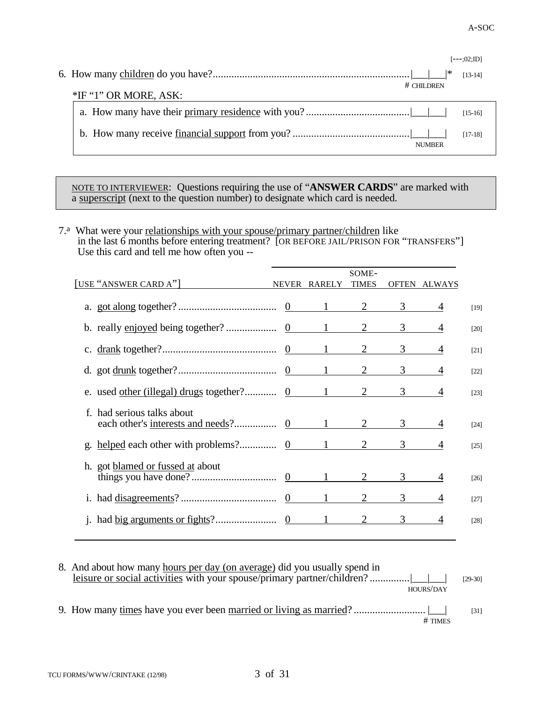|                         |               | $[--.02;JD]$ |  |
|-------------------------|---------------|--------------|--|
|                         |               | $[13-14]$    |  |
|                         | $#$ CHILDREN  |              |  |
| $*IF$ "1" OR MORE, ASK: |               |              |  |
|                         |               | $[15-16]$    |  |
|                         |               | $[17-18]$    |  |
|                         | <b>NUMBER</b> |              |  |

NOTE TO INTERVIEWER: Questions requiring the use of "**ANSWER CARDS**" are marked with a superscript (next to the question number) to designate which card is needed.

7.<sup>a</sup> What were your relationships with your spouse/primary partner/children like in the last 6 months before entering treatment? [OR BEFORE JAIL/PRISON FOR "TRANSFERS"] Use this card and tell me how often you --

| [USE "ANSWER CARD A"]            | NEVER RARELY TIMES | SOME-          |                        | OFTEN ALWAYS |        |
|----------------------------------|--------------------|----------------|------------------------|--------------|--------|
|                                  |                    |                |                        | 4            | $[19]$ |
|                                  |                    |                |                        | 4            | $[20]$ |
|                                  |                    |                |                        | 4            | $[21]$ |
|                                  |                    |                |                        | 4            | $[22]$ |
|                                  |                    |                |                        | 4            | $[23]$ |
| f. had serious talks about       |                    |                |                        |              | $[24]$ |
|                                  |                    |                |                        |              | $[25]$ |
| h. got blamed or fussed at about |                    | $\overline{2}$ | $3 \quad \blacksquare$ |              | $[26]$ |
|                                  |                    |                | 3 <sup>7</sup>         |              | $[27]$ |
|                                  |                    |                | 3                      |              | [28]   |

| 8. And about how many hours per day (on average) did you usually spend in | HOURS/DAY | $[29-30]$ |
|---------------------------------------------------------------------------|-----------|-----------|
|                                                                           | $#$ TIMES | [31]      |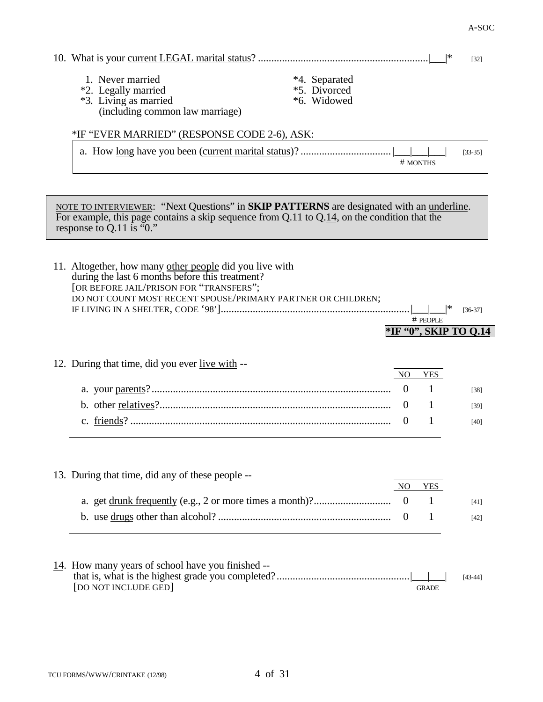|                                                                                                                                                                                                                                          |                                                    | *                    | $[32]$                |
|------------------------------------------------------------------------------------------------------------------------------------------------------------------------------------------------------------------------------------------|----------------------------------------------------|----------------------|-----------------------|
| 1. Never married<br>*4. Separated<br>*5. Divorced<br>*2. Legally married<br>*3. Living as married<br>*6. Widowed<br>(including common law marriage)                                                                                      |                                                    |                      |                       |
| *IF "EVER MARRIED" (RESPONSE CODE 2-6), ASK:                                                                                                                                                                                             |                                                    |                      |                       |
|                                                                                                                                                                                                                                          |                                                    | # MONTHS             | $[33-35]$             |
| NOTE TO INTERVIEWER: "Next Questions" in <b>SKIP PATTERNS</b> are designated with an <u>underline</u> .<br>For example, this page contains a skip sequence from $Q.11$ to $Q.14$ , on the condition that the<br>response to Q.11 is "0." |                                                    |                      |                       |
| 11. Altogether, how many other people did you live with<br>during the last 6 months before this treatment?<br>[OR BEFORE JAIL/PRISON FOR "TRANSFERS";<br>DO NOT COUNT MOST RECENT SPOUSE/PRIMARY PARTNER OR CHILDREN;                    |                                                    | # PEOPLE             | $[36-37]$             |
|                                                                                                                                                                                                                                          |                                                    |                      | *IF "0", SKIP TO Q.14 |
| 12. During that time, did you ever live with --                                                                                                                                                                                          |                                                    |                      |                       |
|                                                                                                                                                                                                                                          | N <sub>O</sub>                                     | <b>YES</b>           |                       |
|                                                                                                                                                                                                                                          | $\overline{0}$                                     | 1                    | $[38]$                |
|                                                                                                                                                                                                                                          | $\mathbf{0}$<br>$\overline{0}$                     | 1<br>1               | [39]<br>$[40]$        |
| 13. During that time, did any of these people --                                                                                                                                                                                         | N <sub>O</sub><br>$\overline{0}$<br>$\overline{0}$ | <b>YES</b><br>1<br>1 | $[41]$<br>$[42]$      |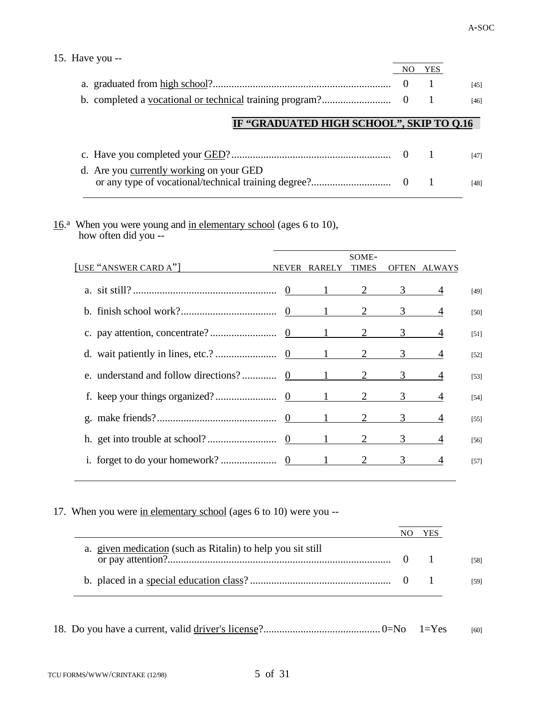| 15. Have you $-$                         |            |        |
|------------------------------------------|------------|--------|
|                                          | <b>YES</b> |        |
|                                          |            | [45]   |
|                                          |            | $[46]$ |
| IF "GRADUATED HIGH SCHOOL", SKIP TO 0.16 |            |        |
| $c$ Have you completed your $GED?$       |            | FAT1   |

|                                          |  | [47] |
|------------------------------------------|--|------|
| d. Are you currently working on your GED |  | [48] |
|                                          |  |      |

16.<sup>a</sup> When you were young and in elementary school (ages 6 to 10), how often did you --

| [USE "ANSWER CARD A"] | <b>NEVER</b> | RARELY | SOME-<br><b>TIMES</b> |                                | OFTEN ALWAYS   |        |
|-----------------------|--------------|--------|-----------------------|--------------------------------|----------------|--------|
|                       |              |        |                       |                                | 4              | $[49]$ |
|                       |              |        |                       |                                |                | $[50]$ |
|                       |              |        |                       |                                |                | $[51]$ |
|                       |              |        |                       | $3 \left( \frac{1}{2} \right)$ | 4              | $[52]$ |
|                       |              |        |                       | $3 \quad \text{ }$             | $\overline{4}$ | $[53]$ |
|                       |              |        |                       | $3 \quad \text{ }$             |                | $[54]$ |
|                       |              |        |                       | $3 \left( \frac{1}{2} \right)$ | 4              | $[55]$ |
|                       |              |        |                       | $3 \left( \frac{1}{2} \right)$ |                | $[56]$ |
|                       |              |        |                       |                                |                | $[57]$ |
|                       |              |        |                       |                                |                |        |

17. When you were in elementary school (ages 6 to 10) were you --

|                                                             | YES |
|-------------------------------------------------------------|-----|
| a. given medication (such as Ritalin) to help you sit still |     |
|                                                             |     |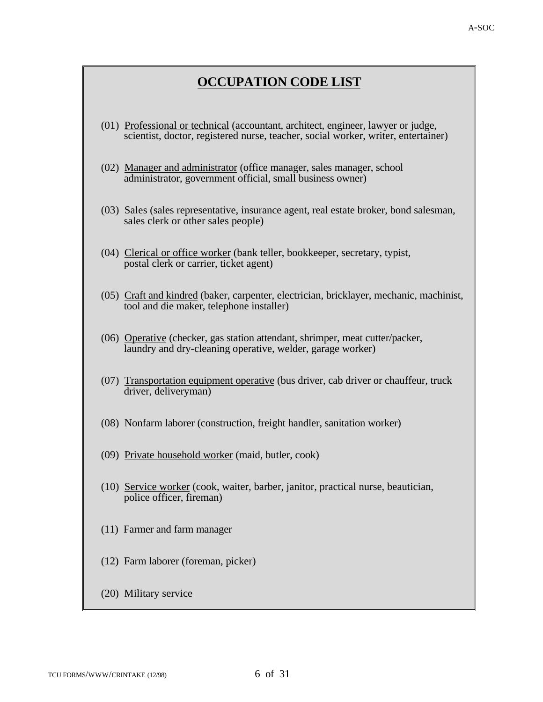# **OCCUPATION CODE LIST**

- (01) Professional or technical (accountant, architect, engineer, lawyer or judge, scientist, doctor, registered nurse, teacher, social worker, writer, entertainer)
- (02) Manager and administrator (office manager, sales manager, school administrator, government official, small business owner)
- (03) Sales (sales representative, insurance agent, real estate broker, bond salesman, sales clerk or other sales people)
- (04) Clerical or office worker (bank teller, bookkeeper, secretary, typist, postal clerk or carrier, ticket agent)
- (05) Craft and kindred (baker, carpenter, electrician, bricklayer, mechanic, machinist, tool and die maker, telephone installer)
- (06) Operative (checker, gas station attendant, shrimper, meat cutter/packer, laundry and dry-cleaning operative, welder, garage worker)
- (07) Transportation equipment operative (bus driver, cab driver or chauffeur, truck driver, deliveryman)
- (08) Nonfarm laborer (construction, freight handler, sanitation worker)
- (09) Private household worker (maid, butler, cook)
- (10) Service worker (cook, waiter, barber, janitor, practical nurse, beautician, police officer, fireman)
- (11) Farmer and farm manager
- (12) Farm laborer (foreman, picker)
- (20) Military service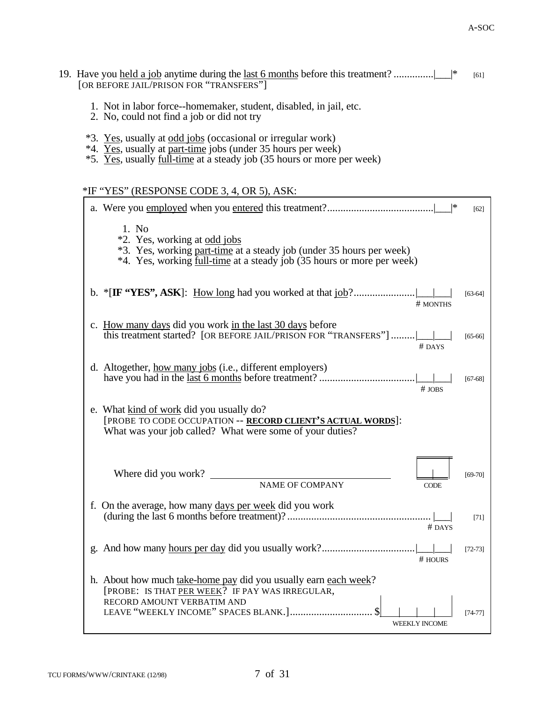- 19. Have you held a job anytime during the last 6 months before this treatment? ...............| \* [61] [OR BEFORE JAIL/PRISON FOR "TRANSFERS"]
	- 1. Not in labor force--homemaker, student, disabled, in jail, etc.
	- 2. No, could not find a job or did not try
	- \*3. Yes, usually at odd jobs (occasional or irregular work)
	- \*4. Yes, usually at part-time jobs (under 35 hours per week)
	- \*5. Yes, usually full-time at a steady job (35 hours or more per week)

# \*IF "YES" (RESPONSE CODE 3, 4, OR 5), ASK:

|                                                                                                                                                                                         | [62]        |
|-----------------------------------------------------------------------------------------------------------------------------------------------------------------------------------------|-------------|
| 1. No<br>*2. Yes, working at odd jobs<br>*3. Yes, working part-time at a steady job (under 35 hours per week)<br>*4. Yes, working full-time at a steady job (35 hours or more per week) |             |
| # MONTHS                                                                                                                                                                                | $[63-64]$   |
| c. How many days did you work in the last 30 days before<br>this treatment started? [OR BEFORE JAIL/PRISON FOR "TRANSFERS"]<br># DAYS                                                   | $[65 - 66]$ |
| d. Altogether, <u>how many jobs</u> (i.e., different employers)<br>$#$ JOBS                                                                                                             | $[67-68]$   |
| e. What kind of work did you usually do?<br>[PROBE TO CODE OCCUPATION -- RECORD CLIENT'S ACTUAL WORDS]:<br>What was your job called? What were some of your duties?                     |             |
| Where did you work?<br>NAME OF COMPANY<br><b>CODE</b>                                                                                                                                   | $[69-70]$   |
| f. On the average, how many days per week did you work<br># DAYS                                                                                                                        | $[71]$      |
| $#$ HOURS                                                                                                                                                                               | $[72 - 73]$ |
| h. About how much take-home pay did you usually earn each week?<br>[PROBE: IS THAT PER WEEK? IF PAY WAS IRREGULAR,<br>RECORD AMOUNT VERBATIM AND                                        |             |
| <b>WEEKLY INCOME</b>                                                                                                                                                                    | $[74-77]$   |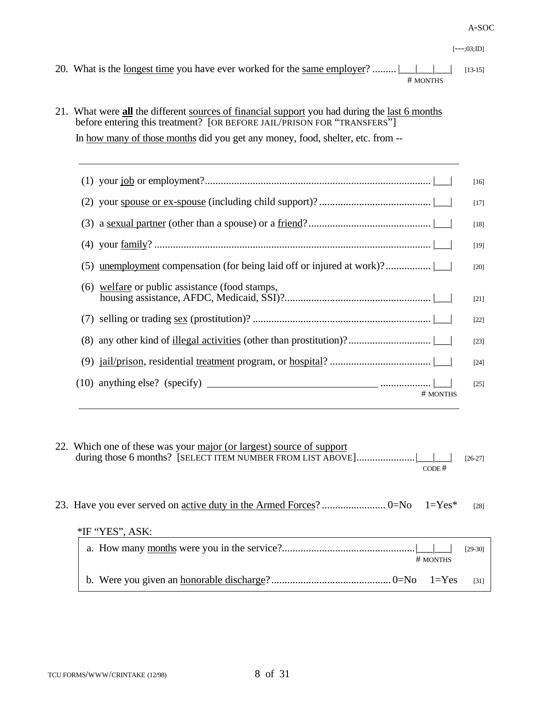#### A-SOC

- 20. What is the <u>longest time</u> you have ever worked for the <u>same employer</u>? .........  $\boxed{\phantom{\cdot} \phantom{\cdot} \phantom{\cdot} \phantom{\cdot} \phantom{\cdot} \phantom{\cdot} \phantom{\cdot} \phantom{\cdot} \phantom{\cdot} \phantom{\cdot} \phantom{\cdot} \phantom{\cdot} \phantom{\cdot} \phantom{\cdot} \phantom{\cdot} \phantom{\cdot} \phantom{\cdot} \phantom{\cdot} \phantom{\cdot} \phantom{\cdot} \phantom{\cdot} \phantom{\cdot$ # MONTHS
- 21. What were **all** the different sources of financial support you had during the last 6 months before entering this treatment? [OR BEFORE JAIL/PRISON FOR "TRANSFERS"] In how many of those months did you get any money, food, shelter, etc. from --

|                                                                       | $[16]$ |
|-----------------------------------------------------------------------|--------|
|                                                                       | $[17]$ |
| (3) a <u>sexual partner</u> (other than a spouse) or a $friend?\dots$ | $[18]$ |
|                                                                       | $[19]$ |
|                                                                       | $[20]$ |
| (6) welfare or public assistance (food stamps,                        | $[21]$ |
|                                                                       | $[22]$ |
|                                                                       | $[23]$ |
|                                                                       | $[24]$ |
| # MONTHS                                                              | $[25]$ |

| 22. Which one of these was your major (or largest) source of support<br>CODE# | $[26-27]$          |
|-------------------------------------------------------------------------------|--------------------|
| *IF "YES", ASK:                                                               | $\lceil 28 \rceil$ |
| # MONTHS                                                                      | $[29-30]$          |
| $l = Yes$                                                                     | [31]               |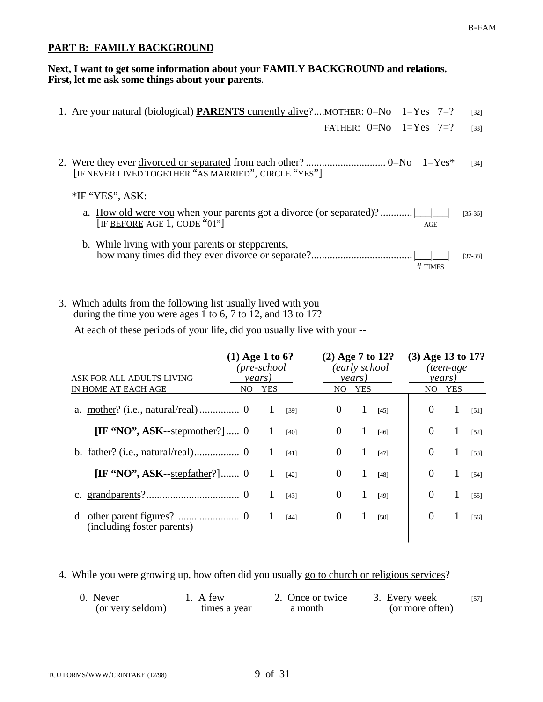## **PART B: FAMILY BACKGROUND**

#### **Next, I want to get some information about your FAMILY BACKGROUND and relations. First, let me ask some things about your parents**.

| 1. Are your natural (biological) <b>PARENTS</b> currently alive?MOTHER: $0=N_0$ 1=Yes 7=?                      | [32]               |
|----------------------------------------------------------------------------------------------------------------|--------------------|
| FATHER: $0=N_0$ 1=Yes 7=?                                                                                      | $[33]$             |
| [IF NEVER LIVED TOGETHER "AS MARRIED", CIRCLE "YES"]<br>$*IF$ "YES", ASK:                                      | $\lceil 34 \rceil$ |
| a. How old were you when your parents got a divorce (or separated)?<br>[IF BEFORE AGE 1, CODE " $01$ "]<br>AGE | $[35-36]$          |
| b. While living with your parents or stepparents,<br># TIMES                                                   | $[37-38]$          |

3. Which adults from the following list usually lived with you during the time you were  $\frac{\text{ages } 1 \text{ to } 6, 7 \text{ to } 12, \text{ and } 13 \text{ to } 17?$ 

At each of these periods of your life, did you usually live with your --

| ASK FOR ALL ADULTS LIVING                                                         | $(1)$ Age 1 to 6?<br>$(pre-school$<br>years) |     |        | $(2)$ Age 7 to 12?<br>(early school)<br>years) |     |        | (3) Age 13 to 17?<br>(teen-age<br>years) |            |        |
|-----------------------------------------------------------------------------------|----------------------------------------------|-----|--------|------------------------------------------------|-----|--------|------------------------------------------|------------|--------|
| IN HOME AT EACH AGE                                                               | NO.                                          | YES |        | NO.                                            | YES |        | NO.                                      | <b>YES</b> |        |
|                                                                                   |                                              |     | $[39]$ | $\theta$                                       | 1   | $[45]$ | $\theta$                                 | 1          | $[51]$ |
| $[\mathbf{IF} \cdot \mathbf{NO}$ <sup>*</sup> , ASK--stepmother <sup>?</sup> ]  0 |                                              |     | $[40]$ | $\theta$                                       | 1   | $[46]$ | $\theta$                                 | 1          | $[52]$ |
|                                                                                   |                                              |     | [41]   | $\Omega$                                       |     | $[47]$ | $\theta$                                 | 1          | $[53]$ |
| $[\mathbf{IF} \text{ 'NO'}], \mathbf{ASK}\text{-stepfather?}] \dots 0$            |                                              |     | $[42]$ | $\Omega$                                       |     | $[48]$ | $\Omega$                                 | 1          | [54]   |
|                                                                                   |                                              |     | $[43]$ | $\Omega$                                       |     | [49]   | $\overline{0}$                           |            | [55]   |
| (including foster parents)                                                        |                                              |     | $[44]$ | $\theta$                                       |     | [50]   | $\overline{0}$                           |            | $[56]$ |

4. While you were growing up, how often did you usually go to church or religious services?

| 0. Never         | 1. A few     | 2. Once or twice | 3. Every week   | $[57]$ |
|------------------|--------------|------------------|-----------------|--------|
| (or very seldom) | times a year | a month          | (or more often) |        |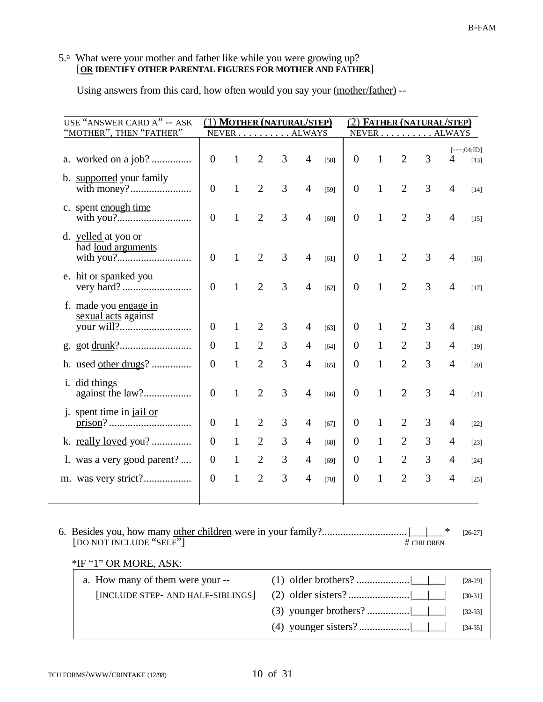#### 5.<sup>a</sup> What were your mother and father like while you were growing up? [**OR IDENTIFY OTHER PARENTAL FIGURES FOR MOTHER AND FATHER**]

Using answers from this card, how often would you say your (mother/father) --

| USE "ANSWER CARD A" -- ASK<br>"MOTHER", THEN "FATHER" |                | <u>(1) MOTHER (NATURAL/STEP)</u><br>NEVER ALWAYS |                |   |                |        |                |              | <u>(2) FATHER (NATURAL/STEP)</u><br>NEVER ALWAYS |   |                          |                         |
|-------------------------------------------------------|----------------|--------------------------------------------------|----------------|---|----------------|--------|----------------|--------------|--------------------------------------------------|---|--------------------------|-------------------------|
|                                                       |                |                                                  |                |   |                |        |                |              |                                                  |   |                          |                         |
|                                                       | $\theta$       | 1                                                | $\overline{2}$ | 3 | $\overline{4}$ | $[58]$ | $\overline{0}$ | 1            | $\overline{2}$                                   | 3 | 4                        | $[--;04;$ ID]<br>$[13]$ |
| b. supported your family                              | $\theta$       | 1                                                | $\overline{2}$ | 3 | $\overline{4}$ | [59]   | $\overline{0}$ | 1            | $\overline{2}$                                   | 3 | 4                        | $[14]$                  |
| c. spent enough time                                  | $\overline{0}$ | 1                                                | $\overline{2}$ | 3 | $\overline{4}$ | [60]   | $\overline{0}$ | $\mathbf{1}$ | $\overline{2}$                                   | 3 | 4                        | $[15]$                  |
| d. yelled at you or<br>had loud arguments             | $\Omega$       | $\mathbf{1}$                                     | $\overline{2}$ | 3 | $\overline{4}$ | [61]   | $\overline{0}$ | 1            | 2                                                | 3 | 4                        | $[16]$                  |
| e. hit or spanked you                                 | $\overline{0}$ | $\mathbf{1}$                                     | $\overline{2}$ | 3 | $\overline{4}$ | [62]   | $\overline{0}$ | $\mathbf{1}$ | $\overline{2}$                                   | 3 | 4                        | $[17]$                  |
| f. made you engage in<br>sexual acts against          | $\Omega$       | 1                                                | $\overline{2}$ | 3 | $\overline{4}$ | [63]   | $\overline{0}$ | 1            |                                                  | 3 | 4                        | $[18]$                  |
|                                                       | $\Omega$       | 1                                                | $\overline{2}$ | 3 | $\overline{4}$ | [64]   | $\overline{0}$ | 1            | $\overline{2}$                                   | 3 | 4                        | $[19]$                  |
| h. used other drugs?                                  | $\Omega$       | 1                                                | $\overline{2}$ | 3 | $\overline{4}$ | [65]   | $\overline{0}$ | 1            | $\overline{2}$                                   | 3 | 4                        | [20]                    |
| i. did things                                         | $\theta$       | $\mathbf{1}$                                     | $\overline{2}$ | 3 | $\overline{4}$ | [66]   | $\overline{0}$ | $\mathbf{1}$ | $\overline{2}$                                   | 3 | $\overline{4}$           | $[21]$                  |
| j. spent time in jail or                              | $\overline{0}$ | 1                                                | $\overline{2}$ | 3 | $\overline{4}$ | [67]   | $\theta$       | 1            | $\overline{2}$                                   | 3 | 4                        | $[22]$                  |
|                                                       | $\Omega$       | 1                                                | $\overline{2}$ | 3 | $\overline{4}$ | [68]   | $\overline{0}$ | 1            | $\overline{2}$                                   | 3 | $\overline{\mathcal{A}}$ | $[23]$                  |
| 1. was a very good parent?                            | $\Omega$       | $\mathbf{1}$                                     | $\overline{2}$ | 3 | 4              | [69]   | $\overline{0}$ | 1            | $\overline{2}$                                   | 3 | $\overline{4}$           | [24]                    |
|                                                       | $\overline{0}$ | $\mathbf{1}$                                     | $\overline{2}$ | 3 | $\overline{4}$ | $[70]$ | $\overline{0}$ | $\mathbf{1}$ | $\overline{2}$                                   | 3 | 4                        | $[25]$                  |
|                                                       |                |                                                  |                |   |                |        |                |              |                                                  |   |                          |                         |

6. Besides you, how many other children were in your family?................................ |\_\_\_|\_\_\_|\* [26-27] [DO NOT INCLUDE "SELF"] # CHILDREN

## \*IF "1" OR MORE, ASK:

| a. How many of them were your -- | $[28-29]$ |
|----------------------------------|-----------|
|                                  | $[30-31]$ |
|                                  | $[32-33]$ |
|                                  | $[34-35]$ |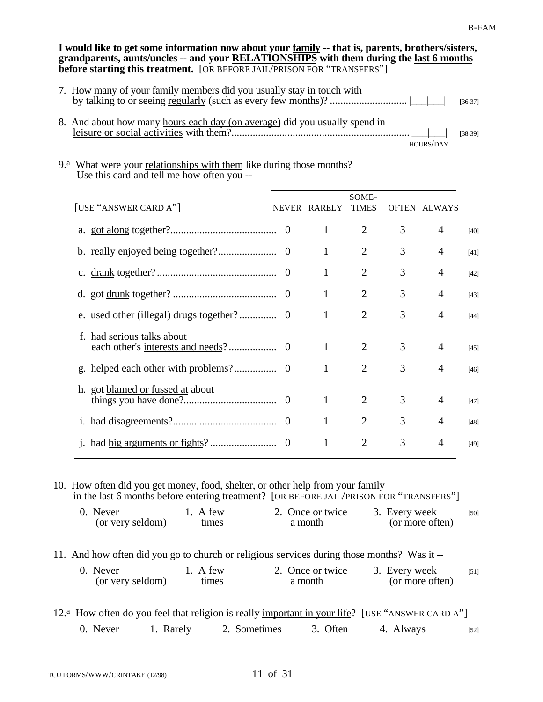**I would like to get some information now about your family -- that is, parents, brothers/sisters, grandparents, aunts/uncles -- and your RELATIONSHIPS with them during the last 6 months before starting this treatment.** [OR BEFORE JAIL/PRISON FOR "TRANSFERS"]

| 7. How many of your family members did you usually stay in touch with      |           | $[36-37]$ |
|----------------------------------------------------------------------------|-----------|-----------|
| 8. And about how many hours each day (on average) did you usually spend in | HOURS/DAY | $[38-39]$ |

9.<sup>a</sup> What were your relationships with them like during those months? Use this card and tell me how often you --

|                                  |                |               | SOME-                       |              |                |        |
|----------------------------------|----------------|---------------|-----------------------------|--------------|----------------|--------|
| [USE "ANSWER CARD A"]            | <b>NEVER</b>   | <b>RARELY</b> | <b>TIMES</b>                | <b>OFTEN</b> | ALWAYS         |        |
|                                  |                | 1             | $\overline{2}$              | 3            | $\overline{4}$ | [40]   |
|                                  | 0              | 1             | $\overline{2}$              | 3            | 4              | [41]   |
|                                  | $\theta$       | 1             | $\overline{2}$              | 3            | 4              | $[42]$ |
|                                  |                | 1             | $\overline{2}$              | 3            | 4              | $[43]$ |
|                                  |                | 1             | $\overline{2}$              | 3            | 4              | $[44]$ |
| had serious talks about<br>f     | $\theta$       | 1             | $\overline{2}$              | 3            | $\overline{4}$ | $[45]$ |
|                                  |                | 1             | $\overline{2}$              | 3            | 4              | $[46]$ |
| h. got blamed or fussed at about |                | 1             | $\overline{2}$              | 3            | 4              | $[47]$ |
|                                  | $\overline{0}$ |               | $\mathcal{D}_{\mathcal{L}}$ | 3            | 4              | $[48]$ |
|                                  | $\theta$       | 1             | $\overline{2}$              | 3            | 4              | $[49]$ |

10. How often did you get money, food, shelter, or other help from your family in the last 6 months before entering treatment? [OR BEFORE JAIL/PRISON FOR "TRANSFERS"]

| 0. Never         | 1. A few | 2. Once or twice | 3. Every week   | [50] |
|------------------|----------|------------------|-----------------|------|
| (or very seldom) | times    | a month          | (or more often) |      |

11. And how often did you go to church or religious services during those months? Was it --

| 0. Never         | 1. A few | 2. Once or twice | 3. Every week   | $[51]$ |
|------------------|----------|------------------|-----------------|--------|
| (or very seldom) | times    | a month          | (or more often) |        |

|          |           | 12. <sup>a</sup> How often do you feel that religion is really important in your life? [USE "ANSWER CARD A"] |          |           |        |
|----------|-----------|--------------------------------------------------------------------------------------------------------------|----------|-----------|--------|
| 0. Never | 1. Rarely | 2. Sometimes                                                                                                 | 3. Often | 4. Always | $[52]$ |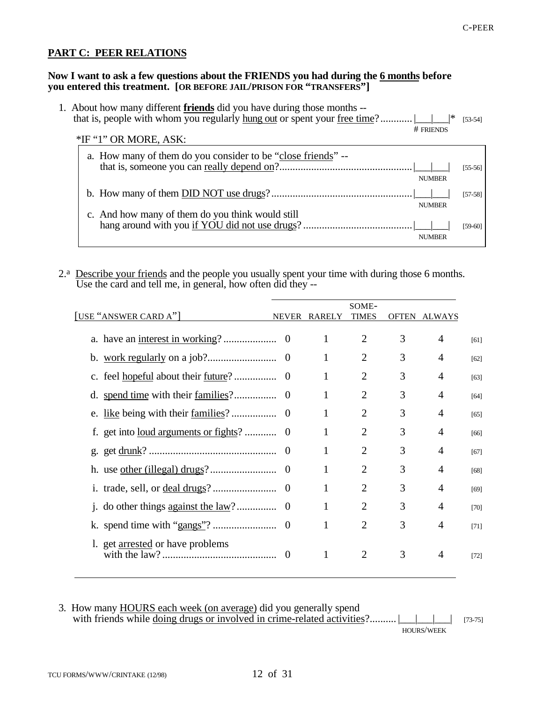# **PART C: PEER RELATIONS**

#### **Now I want to ask a few questions about the FRIENDS you had during the 6 months before you entered this treatment. [OR BEFORE JAIL/PRISON FOR "TRANSFERS"]**

| 1. About how many different <b>friends</b> did you have during those months --    |               |           |
|-----------------------------------------------------------------------------------|---------------|-----------|
| that is, people with whom you regularly hung out or spent your <u>free time</u> ? |               | $[53-54]$ |
|                                                                                   | $#$ FRIENDS   |           |
| *IF "1" OR MORE, ASK:                                                             |               |           |
| a. How many of them do you consider to be "close friends" --                      |               |           |
|                                                                                   |               | $[55-56]$ |
|                                                                                   | <b>NUMBER</b> |           |
|                                                                                   |               | $[57-58]$ |
|                                                                                   | <b>NUMBER</b> |           |
| c. And how many of them do you think would still                                  |               |           |
|                                                                                   |               | $[59-60]$ |
|                                                                                   | <b>NUMBER</b> |           |
|                                                                                   |               |           |

2.<sup>a</sup> Describe your friends and the people you usually spent your time with during those 6 months. Use the card and tell me, in general, how often did they --

|                                                  |              |               | SOME-          |              |                |        |
|--------------------------------------------------|--------------|---------------|----------------|--------------|----------------|--------|
| [USE "ANSWER CARD A"]                            | <b>NEVER</b> | <b>RARELY</b> | TIMES          | <b>OFTEN</b> | <b>ALWAYS</b>  |        |
|                                                  |              | 1             | $\overline{2}$ | 3            | 4              | [61]   |
|                                                  |              | 1             | $\overline{2}$ | 3            | $\overline{A}$ | [62]   |
|                                                  |              | 1             | $\overline{2}$ | 3            | 4              | [63]   |
|                                                  |              | 1             | $\overline{2}$ | 3            | $\overline{4}$ | [64]   |
|                                                  |              | 1             | $\overline{2}$ | 3            | 4              | [65]   |
| get into <u>loud arguments or fights</u> ?<br>f. | 0            |               | $\overline{2}$ | 3            | $\overline{4}$ | [66]   |
| g.                                               |              | 1             | $\overline{2}$ | 3            | $\overline{4}$ | [67]   |
|                                                  |              | 1             | $\overline{2}$ | 3            | 4              | [68]   |
| 1 <sup>1</sup>                                   | $\Omega$     |               | $\overline{2}$ | 3            | $\overline{A}$ | [69]   |
| $\mathbf{1}$ .                                   |              | 1             | $\overline{2}$ | 3            | $\overline{4}$ | [70]   |
| k.                                               |              | 1             | $\overline{2}$ | 3            | 4              | [71]   |
| 1. get arrested or have problems                 | $\Omega$     | 1             | $\overline{2}$ | 3            | 4              | $[72]$ |

3. How many **HOURS** each week (on average) did you generally spend with friends while <u>doing drugs or involved in crime-related activities</u>?.......... |\_\_\_|\_\_\_| [73-75] HOURS/WEEK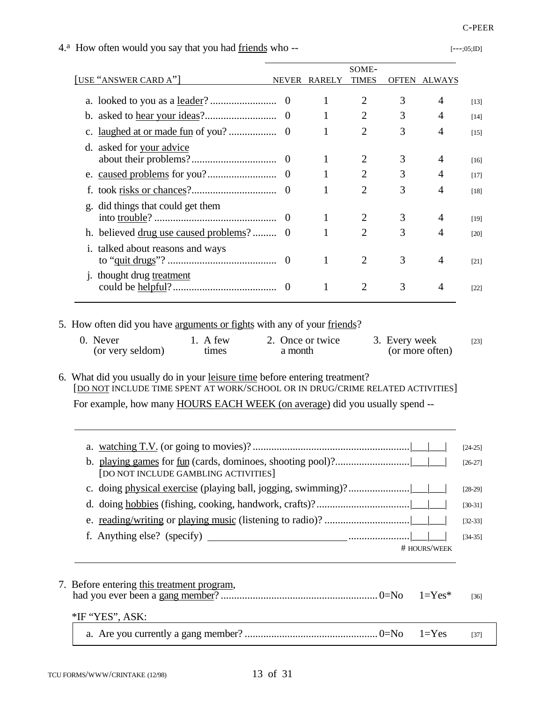# 4.<sup>a</sup> How often would you say that you had <u>friends</u> who -- [---;05;ID]  $\overline{a}$ [USE "ANSWER CARD A"] NEVER RARELY TIMES OFTEN ALWAYS

d. asked for your advice

|                                      |                                                                                                                                                                                                       |                                       |                             |                                                                                                                                                                         |            | $[17]$                                                                                                                                                                                                            |
|--------------------------------------|-------------------------------------------------------------------------------------------------------------------------------------------------------------------------------------------------------|---------------------------------------|-----------------------------|-------------------------------------------------------------------------------------------------------------------------------------------------------------------------|------------|-------------------------------------------------------------------------------------------------------------------------------------------------------------------------------------------------------------------|
|                                      |                                                                                                                                                                                                       | 1                                     | $\overline{2}$              | 3                                                                                                                                                                       | 4          | $[18]$                                                                                                                                                                                                            |
| g. did things that could get them    |                                                                                                                                                                                                       |                                       |                             |                                                                                                                                                                         |            |                                                                                                                                                                                                                   |
|                                      | $\overline{0}$                                                                                                                                                                                        | 1                                     | $\overline{2}$              | 3                                                                                                                                                                       | 4          | $[19]$                                                                                                                                                                                                            |
|                                      | $\overline{0}$                                                                                                                                                                                        | 1                                     | $\overline{2}$              | 3                                                                                                                                                                       | 4          | $[20]$                                                                                                                                                                                                            |
|                                      |                                                                                                                                                                                                       |                                       |                             |                                                                                                                                                                         |            |                                                                                                                                                                                                                   |
|                                      |                                                                                                                                                                                                       | 1                                     |                             |                                                                                                                                                                         | 4          | $[21]$                                                                                                                                                                                                            |
|                                      |                                                                                                                                                                                                       | 1                                     | $\overline{2}$              | 3                                                                                                                                                                       | 4          | $[22]$                                                                                                                                                                                                            |
| $1.$ A few<br>times                  |                                                                                                                                                                                                       |                                       |                             |                                                                                                                                                                         |            | $[23]$                                                                                                                                                                                                            |
|                                      |                                                                                                                                                                                                       |                                       |                             |                                                                                                                                                                         |            |                                                                                                                                                                                                                   |
|                                      |                                                                                                                                                                                                       |                                       |                             |                                                                                                                                                                         |            | $[24-25]$                                                                                                                                                                                                         |
| [DO NOT INCLUDE GAMBLING ACTIVITIES] |                                                                                                                                                                                                       |                                       |                             |                                                                                                                                                                         |            | $[26-27]$                                                                                                                                                                                                         |
|                                      |                                                                                                                                                                                                       |                                       |                             |                                                                                                                                                                         |            | $[28-29]$                                                                                                                                                                                                         |
|                                      |                                                                                                                                                                                                       |                                       |                             |                                                                                                                                                                         |            | $[30-31]$                                                                                                                                                                                                         |
|                                      |                                                                                                                                                                                                       |                                       |                             |                                                                                                                                                                         |            | $[32-33]$                                                                                                                                                                                                         |
|                                      |                                                                                                                                                                                                       |                                       |                             |                                                                                                                                                                         |            | $[34-35]$                                                                                                                                                                                                         |
|                                      |                                                                                                                                                                                                       |                                       |                             |                                                                                                                                                                         |            |                                                                                                                                                                                                                   |
|                                      |                                                                                                                                                                                                       |                                       |                             |                                                                                                                                                                         | $1 = Yes*$ | $[36]$                                                                                                                                                                                                            |
|                                      |                                                                                                                                                                                                       |                                       |                             |                                                                                                                                                                         | $1 = Yes$  | $[37]$                                                                                                                                                                                                            |
|                                      |                                                                                                                                                                                                       |                                       |                             |                                                                                                                                                                         |            |                                                                                                                                                                                                                   |
|                                      | i. talked about reasons and ways<br><i>i</i> . thought drug treatment<br>0. Never<br>(or very seldom)<br>f. Anything else? (specify)<br>7. Before entering this treatment program,<br>*IF "YES", ASK: | h. believed drug use caused problems? | 2. Once or twice<br>a month | $\overline{2}$<br>5. How often did you have arguments or fights with any of your friends?<br>6. What did you usually do in your leisure time before entering treatment? | 3          | 3. Every week<br>(or more often)<br>[DO NOT INCLUDE TIME SPENT AT WORK/SCHOOL OR IN DRUG/CRIME RELATED ACTIVITIES]<br>For example, how many HOURS EACH WEEK (on average) did you usually spend --<br># HOURS/WEEK |

a. looked to you as a leader? ......................... 0 1 2 3 4 [13] b. asked to hear your ideas?........................... 0 1 2 3 4 [14] c. laughed at or made fun of you? .................. 0 1 2 3 4 [15]

about their problems?................................ 0 1 2 3 4 [16]

SOME-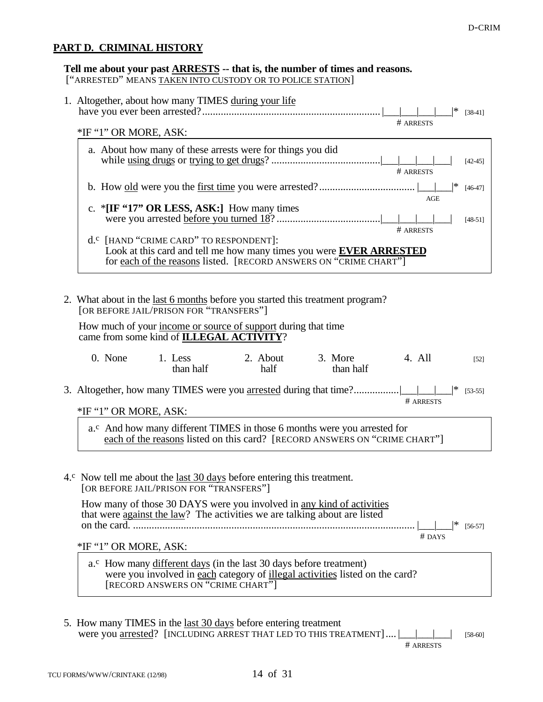#### **PART D. CRIMINAL HISTORY**

# **Tell me about your past ARRESTS -- that is, the number of times and reasons.**

["ARRESTED" MEANS TAKEN INTO CUSTODY OR TO POLICE STATION]

| 1. Altogether, about how many TIMES during your life<br> *<br>$[38-41]$<br># ARRESTS                                                                                                                  |      |
|-------------------------------------------------------------------------------------------------------------------------------------------------------------------------------------------------------|------|
| *IF "1" OR MORE, ASK:                                                                                                                                                                                 |      |
| a. About how many of these arrests were for things you did<br>$[42-45]$<br># ARRESTS                                                                                                                  |      |
| ∣∗<br>$[46-47]$<br>AGE                                                                                                                                                                                |      |
| c. *[IF $\cdot$ 17" OR LESS, ASK:] How many times<br>$[48-51]$<br># ARRESTS                                                                                                                           |      |
| d. <sup>c</sup> [HAND "CRIME CARD" TO RESPONDENT]:<br>Look at this card and tell me how many times you were <b>EVER ARRESTED</b><br>for each of the reasons listed. [RECORD ANSWERS ON "CRIME CHART"] |      |
| 2. What about in the <u>last 6 months</u> before you started this treatment program?<br>[OR BEFORE JAIL/PRISON FOR "TRANSFERS"]                                                                       |      |
| How much of your income or source of support during that time<br>came from some kind of ILLEGAL ACTIVITY?                                                                                             |      |
| 0. None 1. Less 2. About 3. More<br>4. All<br>than half<br>half<br>than half                                                                                                                          | [52] |

3. Altogether, how many TIMES were you arrested during that time?................| || # ARRESTS \*IF "1" OR MORE, ASK:

a.<sup>c</sup> And how many different TIMES in those 6 months were you arrested for each of the reasons listed on this card? [RECORD ANSWERS ON "CRIME CHART"]

#### 4.<sup>c</sup> Now tell me about the last 30 days before entering this treatment. [OR BEFORE JAIL/PRISON FOR "TRANSFERS"]

How many of those 30 DAYS were you involved in any kind of activities that were against the law? The activities we are talking about are listed on the card. .......................................................................................................... |\_\_\_|\_\_\_|\* [56-57]

# DAYS

\*IF "1" OR MORE, ASK:

- a.<sup>c</sup> How many different days (in the last 30 days before treatment) were you involved in each category of illegal activities listed on the card? [RECORD ANSWERS ON "CRIME CHART"]
- 5. How many TIMES in the last 30 days before entering treatment were you arrested? [INCLUDING ARREST THAT LED TO THIS TREATMENT].... |\_\_\_|\_\_\_|\_\_\_| [58-60]

# ARRESTS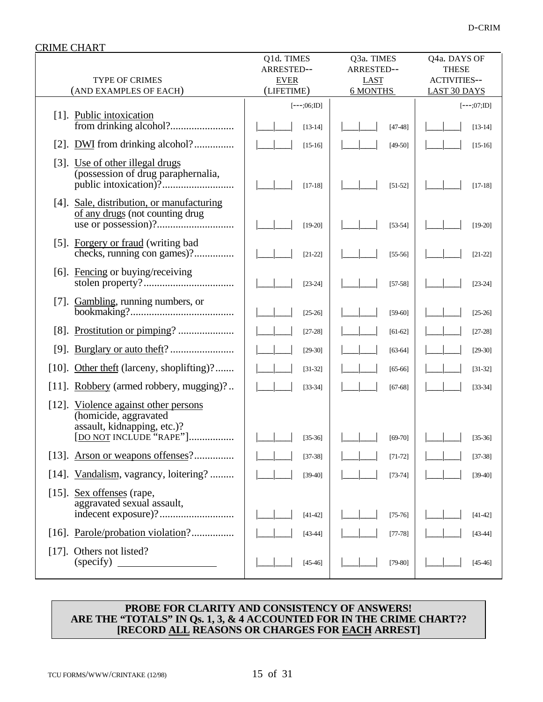| <b>CRIME CHART</b>                                                                                 |                                         |                                         |                                                     |
|----------------------------------------------------------------------------------------------------|-----------------------------------------|-----------------------------------------|-----------------------------------------------------|
| TYPE OF CRIMES                                                                                     | Q1d. TIMES<br>ARRESTED--<br><b>EVER</b> | Q3a. TIMES<br>ARRESTED--<br><b>LAST</b> | Q4a. DAYS OF<br><b>THESE</b><br><b>ACTIVITIES--</b> |
| (AND EXAMPLES OF EACH)                                                                             | (LIFETIME)                              | <b>6 MONTHS</b>                         | <b>LAST 30 DAYS</b>                                 |
| [1]. Public intoxication                                                                           | $[--;06;1D]$<br>$[13-14]$               | $[47-48]$                               | $[--;07;1D]$<br>$[13-14]$                           |
| [2]. DWI from drinking alcohol?                                                                    | $[15-16]$                               | $[49-50]$                               | $[15-16]$                                           |
| [3]. Use of other illegal drugs<br>(possession of drug paraphernalia,                              | $[17-18]$                               | $[51-52]$                               | $[17-18]$                                           |
| [4]. Sale, distribution, or manufacturing<br>of any drugs (not counting drug                       | $[19-20]$                               | $[53-54]$                               | $[19-20]$                                           |
| [5]. Forgery or fraud (writing bad<br>checks, running con games)?                                  | $[21-22]$                               | $[55-56]$                               | $[21-22]$                                           |
| [6]. Fencing or buying/receiving                                                                   | $[23-24]$                               | $[57-58]$                               | $[23-24]$                                           |
|                                                                                                    | $[25-26]$                               | $[59-60]$                               | $[25-26]$                                           |
|                                                                                                    | $[27-28]$                               | $[61-62]$                               | $[27-28]$                                           |
| $[9]$ .                                                                                            | $[29-30]$                               | $[63-64]$                               | $[29-30]$                                           |
| [10]. Other theft (larceny, shoplifting)?                                                          | $[31-32]$                               | $[65 - 66]$                             | $[31-32]$                                           |
| Robbery (armed robbery, mugging)?<br>$[11]$ .                                                      | $[33 - 34]$                             | $[67-68]$                               | $[33-34]$                                           |
| $[12]$ .<br>Violence against other persons<br>(homicide, aggravated<br>assault, kidnapping, etc.)? |                                         |                                         |                                                     |
| [DO NOT INCLUDE "RAPE"]                                                                            | $[35-36]$                               | $[69-70]$                               | $[35-36]$                                           |
| Arson or weapons offenses?<br>$[13]$ .                                                             | $[37-38]$                               | $[71-72]$                               | $[37-38]$                                           |
| [14]. Vandalism, vagrancy, loitering?                                                              | $[39-40]$                               | $[73 - 74]$                             | $[39-40]$                                           |
| Sex offenses (rape,<br>$[15]$ .<br>aggravated sexual assault,                                      | $[41-42]$                               | $[75-76]$                               | $[41-42]$                                           |
| [16]. Parole/probation violation?                                                                  | $[43 - 44]$                             | $[77-78]$                               | $[43-44]$                                           |
| Others not listed?<br>$[17]$ .<br>(specify)                                                        | $[45-46]$                               | $[79-80]$                               | $[45-46]$                                           |

#### **PROBE FOR CLARITY AND CONSISTENCY OF ANSWERS! ARE THE "TOTALS" IN Qs. 1, 3, & 4 ACCOUNTED FOR IN THE CRIME CHART?? [RECORD ALL REASONS OR CHARGES FOR EACH ARREST]**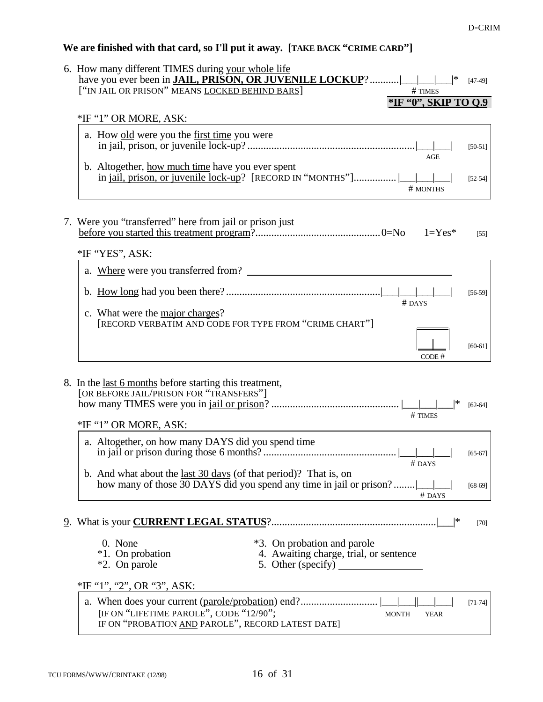# **We are finished with that card, so I'll put it away. [TAKE BACK "CRIME CARD"]**

| 6. How many different TIMES during your whole life<br> *<br># TIMES                                                                                      | $[47-49]$ |
|----------------------------------------------------------------------------------------------------------------------------------------------------------|-----------|
| *IF '0", SKIP TO 0.9                                                                                                                                     |           |
| *IF "1" OR MORE, ASK:                                                                                                                                    |           |
| a. How old were you the first time you were<br><b>AGE</b>                                                                                                | $[50-51]$ |
| b. Altogether, how much time have you ever spent<br>in jail, prison, or juvenile lock-up? [RECORD IN "MONTHS"]   <br># MONTHS                            | $[52-54]$ |
| 7. Were you "transferred" here from jail or prison just<br>$1 = Yes*$<br>*IF "YES", ASK:                                                                 | $[55]$    |
|                                                                                                                                                          |           |
| $#$ DAYS<br>c. What were the <u>major charges</u> ?                                                                                                      | $[56-59]$ |
| [RECORD VERBATIM AND CODE FOR TYPE FROM "CRIME CHART"]<br>CODE #                                                                                         | $[60-61]$ |
| 8. In the <u>last 6 months</u> before starting this treatment,<br>[OR BEFORE JAIL/PRISON FOR "TRANSFERS"]<br> *<br># TIMES<br>*IF "1" OR MORE, ASK:      | $[62-64]$ |
|                                                                                                                                                          |           |
| a. Altogether, on how many DAYS did you spend time<br># DAYS                                                                                             | $[65-67]$ |
| b. And what about the <u>last 30 days</u> (of that period)? That is, on<br>how many of those 30 DAYS did you spend any time in jail or prison?<br># DAYS | $[68-69]$ |
|                                                                                                                                                          | $[70]$    |
| 0. None<br>*3. On probation and parole<br>*1. On probation<br>4. Awaiting charge, trial, or sentence<br>*2. On parole<br>5. Other (specify)              |           |
| *IF "1", "2", OR "3", ASK:                                                                                                                               |           |
| [IF ON "LIFETIME PAROLE", CODE "12/90";<br><b>MONTH</b><br><b>YEAR</b><br>IF ON "PROBATION AND PAROLE", RECORD LATEST DATE]                              | $[71-74]$ |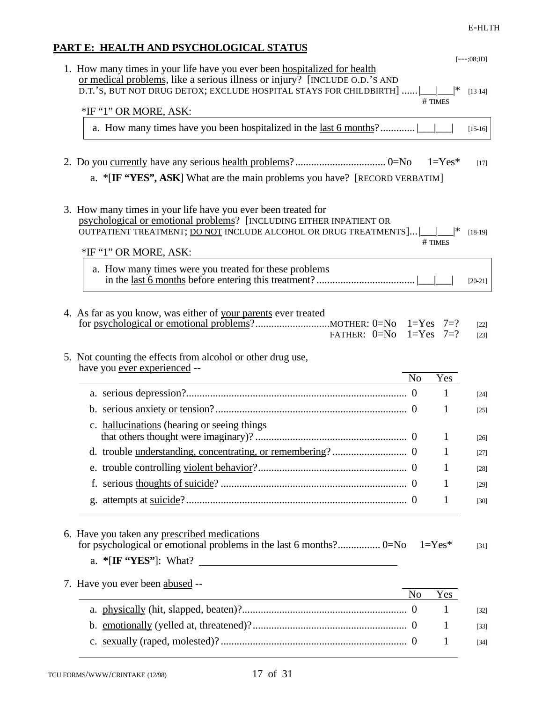# **PART E: HEALTH AND PSYCHOLOGICAL STATUS**

|                                                                                                                                                                                                                                       |                |               | $[--.;08;ID]$    |
|---------------------------------------------------------------------------------------------------------------------------------------------------------------------------------------------------------------------------------------|----------------|---------------|------------------|
| 1. How many times in your life have you ever been hospitalized for health<br>or medical problems, like a serious illness or injury? [INCLUDE O.D.'S AND<br>D.T.'S, BUT NOT DRUG DETOX; EXCLUDE HOSPITAL STAYS FOR CHILDBIRTH $]$      |                | ∣*<br># TIMES | $[13-14]$        |
| *IF "1" OR MORE, ASK:                                                                                                                                                                                                                 |                |               |                  |
|                                                                                                                                                                                                                                       |                |               | $[15-16]$        |
|                                                                                                                                                                                                                                       |                |               |                  |
|                                                                                                                                                                                                                                       |                |               | $[17]$           |
| a. * $[\mathbf{IF}$ "YES", ASK] What are the main problems you have? [RECORD VERBATIM]                                                                                                                                                |                |               |                  |
|                                                                                                                                                                                                                                       |                |               |                  |
| 3. How many times in your life have you ever been treated for<br>psychological or emotional problems? [INCLUDING EITHER INPATIENT OR<br>OUTPATIENT TREATMENT; DO NOT INCLUDE ALCOHOL OR DRUG TREATMENTS     <br>*IF "1" OR MORE, ASK: |                | # TIMES       | $[18-19]$        |
|                                                                                                                                                                                                                                       |                |               |                  |
| a. How many times were you treated for these problems                                                                                                                                                                                 |                |               | $[20-21]$        |
|                                                                                                                                                                                                                                       |                |               |                  |
| 4. As far as you know, was either of your parents ever treated<br>FATHER: $0=N0$                                                                                                                                                      |                | $1 = Yes$ 7=? | $[22]$<br>$[23]$ |
| 5. Not counting the effects from alcohol or other drug use,                                                                                                                                                                           |                |               |                  |
|                                                                                                                                                                                                                                       |                |               |                  |
|                                                                                                                                                                                                                                       |                |               |                  |
| have you ever experienced --<br><u> 1989 - Johann Barn, mars ar breithinn ar breithinn ar breithinn ar breithinn ar breithinn ar breithinn ar br</u>                                                                                  | N <sub>o</sub> | Yes           |                  |
|                                                                                                                                                                                                                                       |                | 1             | $[24]$           |
|                                                                                                                                                                                                                                       |                | 1             | $[25]$           |
| c. hallucinations (hearing or seeing things)                                                                                                                                                                                          |                |               |                  |
|                                                                                                                                                                                                                                       |                | 1             | $[26]$           |
|                                                                                                                                                                                                                                       |                |               | [27]             |
|                                                                                                                                                                                                                                       |                | 1             | $[28]$           |
|                                                                                                                                                                                                                                       |                | 1             | $[29]$           |
|                                                                                                                                                                                                                                       |                | 1             | $[30]$           |
| 6. Have you taken any prescribed medications<br>a. *[IF "YES"]: What?                                                                                                                                                                 |                | $1 = Yes*$    | $[31]$           |
|                                                                                                                                                                                                                                       |                |               |                  |
| 7. Have you ever been abused --                                                                                                                                                                                                       | N <sub>o</sub> | Yes           |                  |
|                                                                                                                                                                                                                                       |                | 1             | $[32]$           |
|                                                                                                                                                                                                                                       |                | 1             | $[33]$           |
|                                                                                                                                                                                                                                       |                | 1             | $[34]$           |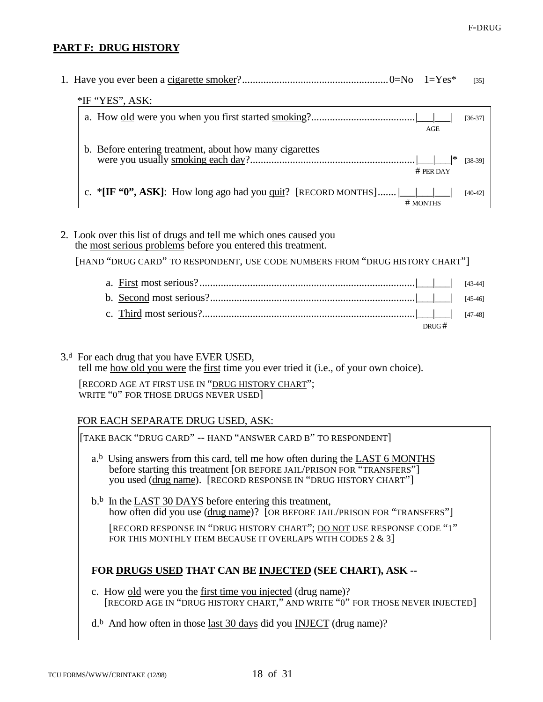## **PART F: DRUG HISTORY**

|                                                                               | [35]      |
|-------------------------------------------------------------------------------|-----------|
| *IF "YES", ASK:                                                               |           |
| AGE                                                                           | $[36-37]$ |
| b. Before entering treatment, about how many cigarettes<br># PER DAY          | $[38-39]$ |
| c. *[IF "0", ASK]: How long ago had you quit? [RECORD MONTHS]    <br># MONTHS | $[40-42]$ |

2. Look over this list of drugs and tell me which ones caused you the most serious problems before you entered this treatment.

[HAND "DRUG CARD" TO RESPONDENT, USE CODE NUMBERS FROM "DRUG HISTORY CHART"]

|  | DRUG $#$ |  |
|--|----------|--|

3.<sup>d</sup> For each drug that you have EVER USED, tell me how old you were the first time you ever tried it (i.e., of your own choice).

[RECORD AGE AT FIRST USE IN "DRUG HISTORY CHART"; WRITE "0" FOR THOSE DRUGS NEVER USED]

### FOR EACH SEPARATE DRUG USED, ASK:

[TAKE BACK "DRUG CARD" -- HAND "ANSWER CARD B" TO RESPONDENT] a.<sup>b</sup> Using answers from this card, tell me how often during the LAST 6 MONTHS before starting this treatment [OR BEFORE JAIL/PRISON FOR "TRANSFERS"] you used (drug name). [RECORD RESPONSE IN "DRUG HISTORY CHART"]  $b^b$ . In the LAST 30 DAYS before entering this treatment, how often did you use (drug name)? [OR BEFORE JAIL/PRISON FOR "TRANSFERS"] [RECORD RESPONSE IN "DRUG HISTORY CHART"; DO NOT USE RESPONSE CODE "1" FOR THIS MONTHLY ITEM BECAUSE IT OVERLAPS WITH CODES 2 & 3] **FOR DRUGS USED THAT CAN BE INJECTED (SEE CHART), ASK -** c. How old were you the first time you injected (drug name)? [RECORD AGE IN "DRUG HISTORY CHART," AND WRITE "0" FOR THOSE NEVER INJECTED]  $d<sup>b</sup>$  And how often in those <u>last 30 days</u> did you **INJECT** (drug name)?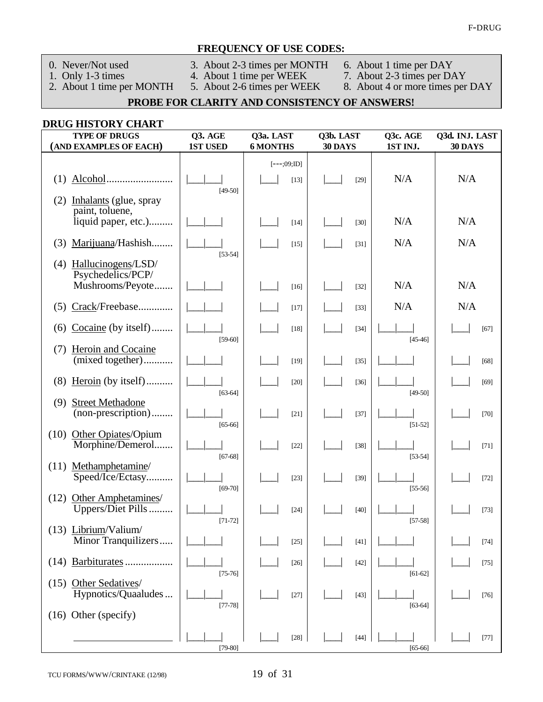#### **FREQUENCY OF USE CODES:**

- 
- 0. Never/Not used 3. About 2-3 times per MONTH 6. About 1 time per DAY 2. About 2-3 times per MONTH 6. About 1 time per DAY<br>
2. About 1 time per MONTH 4. About 1 time per WEEK 7. About 2-3 times per DAY<br>
2. About 1 time per MONTH 5. About 2-6 times per WEEK 8. About 4 or more times per DAY

- 
- 1. Only 1-3 times 4. About 1 time per WEEK 7. About 2-3 times per DAY
- -

# **PROBE FOR CLARITY AND CONSISTENCY OF ANSWERS!**

### **DRUG HISTORY CHART**

| <b>TYPE OF DRUGS</b><br>(AND EXAMPLES OF EACH)                           | Q3. AGE<br><b>1ST USED</b> | Q3a. LAST<br><b>6 MONTHS</b> | Q3b. LAST<br>30 DAYS | Q3c. AGE<br>1ST INJ.   | Q3d. INJ. LAST<br>30 DAYS |
|--------------------------------------------------------------------------|----------------------------|------------------------------|----------------------|------------------------|---------------------------|
| Alcohol.<br>(1)<br>.                                                     | $[49-50]$                  | $[--;09;1D]$<br>$[13]$       | $[29]$               | N/A                    | N/A                       |
| (2)<br>Inhalants (glue, spray<br>paint, toluene,<br>liquid paper, etc.)  |                            | $[14]$                       | $[30]$               | N/A                    | N/A                       |
| Marijuana/Hashish<br>(3)                                                 |                            | $[15]$                       | $[31]$               | N/A                    | N/A                       |
| Hallucinogens/LSD/<br>(4)<br>Psychedelics/PCP/<br>Mushrooms/Peyote.<br>. | $[53 - 54]$                | $[16]$                       | $[32]$               | N/A                    | N/A                       |
| Crack/Freebase<br>(5)                                                    |                            | $[17]$                       | $[33]$               | N/A                    | N/A                       |
| Cocaine (by itself)<br>(6)                                               | $[59-60]$                  | $[18]$                       | $[34]$               | $[45-46]$              | $[67]$                    |
| <b>Heroin and Cocaine</b><br>(7)<br>(mixed together)                     |                            | $[19]$                       | $[35]$               |                        | [68]                      |
| Heroin (by itself)<br>(8)                                                | $[63-64]$                  | $[20]$                       | $[36]$               | $[49-50]$              | $[69]$                    |
| <b>Street Methadone</b><br>(9)<br>(non-prescription)                     | $[65-66]$                  | $[21]$                       | $[37]$               | $[51-52]$              | $[70]$                    |
| Other Opiates/Opium<br>(10)<br>Morphine/Demerol                          | $[67-68]$                  | $[22]$                       | $[38]$               | $[53-54]$              | $[71]$                    |
| Methamphetamine/<br>(11)<br>Speed/Ice/Ectasy                             | $[69-70]$                  | $[23]$                       | $[39]$               | $[55-56]$              | $[72]$                    |
| Other Amphetamines/<br>(12)<br>Uppers/Diet Pills                         | $[71-72]$                  | $[24]$                       | $[40]$               | $[57-58]$              | $[73]$                    |
| (13) Librium/Valium/<br>Minor Tranquilizers                              |                            | $[25]$                       | $[41]$               |                        | $[74]$                    |
| Barbiturates.<br>(14)                                                    |                            | $[26]$                       | $[42]$               |                        | $[75]$                    |
| (15) Other Sedatives/<br>Hypnotics/Quaaludes                             | $[75-76]$<br>$[77-78]$     | [27]                         | $[43]$               | $[61-62]$<br>$[63-64]$ | $[76]$                    |
| (16) Other (specify)                                                     |                            |                              |                      |                        |                           |
|                                                                          | $[79-80]$                  | $[28]$                       | $[44]$               | $[65-66]$              | $[77]$                    |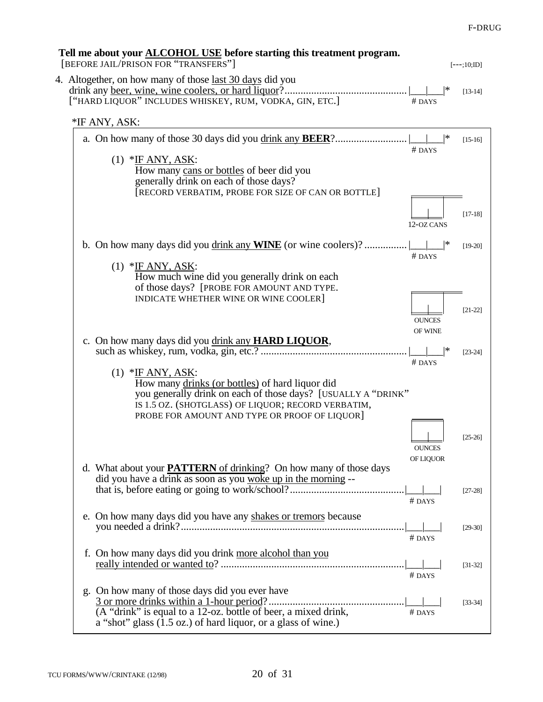# **Tell me about your ALCOHOL USE before starting this treatment program.** [BEFORE JAIL/PRISON FOR "TRANSFERS"] [---;10;ID] 4. Altogether, on how many of those last 30 days did you drink any beer, wine, wine coolers, or hard liquor?.............................................. |\_\_\_|\_\_\_|\* [13-14] ["HARD LIQUOR" INCLUDES WHISKEY, RUM, VODKA, GIN, ETC.] \*IF ANY, ASK: a. On how many of those 30 days did you drink any **BEER**?........................... |\_\_\_|\_\_\_|\* [15-16] # DAYS  $(1)$  \*IF ANY, ASK: How many cans or bottles of beer did you generally drink on each of those days? [RECORD VERBATIM, PROBE FOR SIZE OF CAN OR BOTTLE]  $[17-18]$ 12-OZ CANS b. On how many days did you <u>drink any **WINE**</u> (or wine coolers)? .................|\_\_\_\_|\* [19-20] # DAYS  $(1)$  \*IF ANY, ASK: How much wine did you generally drink on each of those days? [PROBE FOR AMOUNT AND TYPE. INDICATE WHETHER WINE OR WINE COOLER] | [21-22] **OUNCES** OF WINE c. On how many days did you drink any **HARD LIQUOR**, such as whiskey, rum, vodka, gin, etc.? ....................................................... |\_\_\_|\_\_\_|\* [23-24] # DAYS  $(1)$  \*IF ANY, ASK: How many drinks (or bottles) of hard liquor did you generally drink on each of those days? [USUALLY A "DRINK" IS 1.5 OZ. (SHOTGLASS) OF LIQUOR; RECORD VERBATIM, PROBE FOR AMOUNT AND TYPE OR PROOF OF LIQUOR]  $[25-26]$ **OUNCES** OF LIQUOR d. What about your **PATTERN** of drinking? On how many of those days did you have a drink as soon as you woke up in the morning - that is, before eating or going to work/school?...........................................|\_\_\_|\_\_\_| [27-28] # DAYS e. On how many days did you have any shakes or tremors because you needed a drink?....................................................................................|\_\_\_|\_\_\_| [29-30] # DAYS f. On how many days did you drink more alcohol than you really intended or wanted to? .....................................................................|\_\_\_|\_\_\_| [31-32] # DAYS g. On how many of those days did you ever have 3 or more drinks within a 1-hour period?...................................................|\_\_\_|\_\_\_| [33-34]  $(A "drink"$  is equal to a 12-oz. bottle of beer, a mixed drink,  $#$  DAYS a "shot" glass (1.5 oz.) of hard liquor, or a glass of wine.)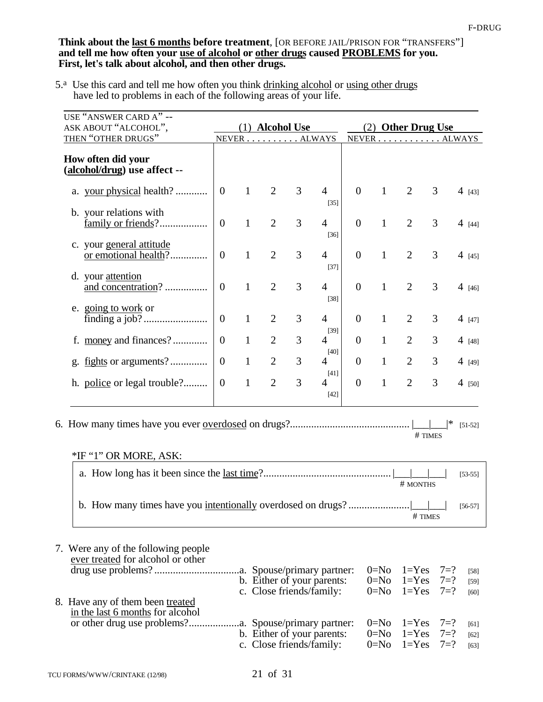#### **Think about the last 6 months before treatment**, [OR BEFORE JAIL/PRISON FOR "TRANSFERS"] **and tell me how often your use of alcohol or other drugs caused PROBLEMS for you. First, let's talk about alcohol, and then other drugs.**

5.<sup>a</sup> Use this card and tell me how often you think drinking alcohol or using other drugs have led to problems in each of the following areas of your life.  $\overline{a}$ 

| USE "ANSWER CARD A" --<br>ASK ABOUT "ALCOHOL",                                                      | (1) Alcohol Use |              |                | (2) Other Drug Use |                                                                                       |                |                                  |                                     |                               |                          |
|-----------------------------------------------------------------------------------------------------|-----------------|--------------|----------------|--------------------|---------------------------------------------------------------------------------------|----------------|----------------------------------|-------------------------------------|-------------------------------|--------------------------|
| THEN "OTHER DRUGS"                                                                                  |                 |              | NEVER ALWAYS   |                    |                                                                                       |                |                                  | NEVER ALWAYS                        |                               |                          |
| How often did your<br>(alcohol/drug) use affect --                                                  |                 |              |                |                    |                                                                                       |                |                                  |                                     |                               |                          |
| a. your physical health?                                                                            | $\overline{0}$  | $\mathbf{1}$ | $\overline{2}$ | $\overline{3}$     | $\overline{4}$<br>$[35]$                                                              | $\overline{0}$ | $\mathbf{1}$                     | $\overline{2}$                      | 3                             | $4$ [43]                 |
| b. your relations with<br>family or friends?                                                        | $\overline{0}$  | $\mathbf{1}$ | $\overline{2}$ | 3                  | $\overline{4}$<br>$[36]$                                                              | $\overline{0}$ | $\mathbf{1}$                     | $\overline{2}$                      | 3                             | 4 [44]                   |
| c. your general attitude<br>or emotional health?                                                    | $\overline{0}$  | $\mathbf{1}$ | $\overline{2}$ | 3                  | $\overline{4}$<br>$[37]$                                                              | $\overline{0}$ | $\mathbf{1}$                     | $\overline{2}$                      | 3                             | 4 [45]                   |
| d. your attention<br>and concentration?                                                             | $\overline{0}$  | $\mathbf{1}$ | $\overline{2}$ | 3                  | $\overline{4}$<br>$[38]$                                                              | $\overline{0}$ | $\mathbf{1}$                     | $\overline{2}$                      | 3                             | 4[46]                    |
| e. going to work or                                                                                 | $\overline{0}$  | $\mathbf{1}$ | $\overline{2}$ | 3                  | $\overline{4}$                                                                        | $\overline{0}$ | $\mathbf{1}$                     | $\overline{2}$                      | 3                             | 4[47]                    |
| f. money and finances?                                                                              | $\overline{0}$  | $\mathbf{1}$ | $\overline{2}$ | 3                  | $[39]$<br>4                                                                           | $\overline{0}$ | $\mathbf{1}$                     | $\overline{2}$                      | 3                             | 4 [48]                   |
| g. <u>fights</u> or arguments?                                                                      | $\overline{0}$  | $\mathbf{1}$ | $\overline{2}$ | 3                  | $[40]$<br>4                                                                           | $\overline{0}$ | $\mathbf{1}$                     | $\overline{2}$                      | 3                             | 4 [49]                   |
| h. police or legal trouble?                                                                         | $\overline{0}$  | $\mathbf{1}$ | $\overline{2}$ | 3                  | $[41]$<br>4<br>$[42]$                                                                 | $\overline{0}$ | $\mathbf{1}$                     | $\overline{2}$                      | 3                             | $4$ [50]                 |
| *IF "1" OR MORE, ASK:                                                                               |                 |              |                |                    |                                                                                       |                |                                  |                                     | ∣∗<br># TIMES                 | $[51-52]$                |
|                                                                                                     |                 |              |                |                    |                                                                                       |                |                                  | # MONTHS                            |                               | $[53-55]$                |
|                                                                                                     |                 |              |                |                    |                                                                                       |                |                                  | # TIMES                             |                               | $[56-57]$                |
| 7. Were any of the following people<br>ever treated for alcohol or other                            |                 |              |                |                    | .a. Spouse/primary partner:<br>b. Either of your parents:<br>c. Close friends/family: |                | $0 = No$<br>$0 = No$<br>$0 = No$ | $1 = Yes$<br>$1 = Yes$<br>$1 = Yes$ | $7 = ?$<br>$7 = ?$<br>$7 = ?$ | $[58]$<br>$[59]$<br>[60] |
| 8. Have any of them been treated<br>in the last 6 months for alcohol<br>or other drug use problems? |                 |              |                |                    | .a. Spouse/primary partner:<br>b. Either of your parents:<br>c. Close friends/family: |                | $0 = No$<br>$0 = No$<br>$0 = No$ | $1 = Yes$<br>$1 = Yes$<br>$1 = Yes$ | $7 = ?$<br>$7 = ?$<br>$7 = ?$ | [61]<br>$[62]$<br>[63]   |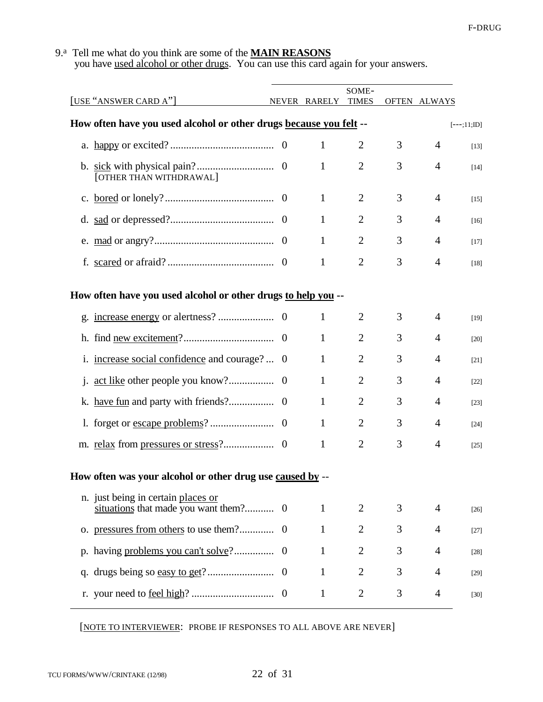#### 9.a Tell me what do you think are some of the **MAIN REASONS**

you have used alcohol or other drugs. You can use this card again for your answers.

|                                                                    |              |              | SOME-          |   |                |              |
|--------------------------------------------------------------------|--------------|--------------|----------------|---|----------------|--------------|
| [USE "ANSWER CARD A"]                                              | <b>NEVER</b> | RARELY       | <b>TIMES</b>   |   | OFTEN ALWAYS   |              |
| How often have you used alcohol or other drugs because you felt -- |              |              |                |   |                | $[--;11;ID]$ |
|                                                                    |              | 1            | $\overline{2}$ | 3 | $\overline{4}$ | $[13]$       |
| [OTHER THAN WITHDRAWAL]                                            |              | 1            | $\overline{2}$ | 3 | $\overline{4}$ | $[14]$       |
|                                                                    |              | 1            | $\overline{2}$ | 3 | $\overline{4}$ | $[15]$       |
|                                                                    |              | 1            | $\overline{2}$ | 3 | $\overline{4}$ | $[16]$       |
|                                                                    |              | 1            | $\overline{2}$ | 3 | 4              | $[17]$       |
|                                                                    |              | 1            | $\overline{2}$ | 3 | $\overline{4}$ | $[18]$       |
| How often have you used alcohol or other drugs to help you --      |              |              |                |   |                |              |
|                                                                    |              | 1            | 2              | 3 | $\overline{4}$ | $[19]$       |
|                                                                    | $\theta$     | 1            | $\overline{2}$ | 3 | 4              | [20]         |
| increase social confidence and courage?  0<br>1.                   |              | 1            | $\overline{2}$ | 3 | 4              | [21]         |
| 1.                                                                 | $\Omega$     | 1            | $\overline{2}$ | 3 | 4              | $[22]$       |
|                                                                    | $\theta$     | 1            | $\overline{2}$ | 3 | 4              | $[23]$       |
|                                                                    | $\theta$     | 1            | $\overline{2}$ | 3 | 4              | $[24]$       |
|                                                                    | $\theta$     | 1            | $\overline{2}$ | 3 | 4              | $[25]$       |
| How often was your alcohol or other drug use caused by --          |              |              |                |   |                |              |
| n. just being in certain places or                                 |              | $\mathbf{1}$ | 2              | 3 | 4              | $[26]$       |
|                                                                    |              | $\mathbf{1}$ | $\overline{2}$ | 3 | 4              | $[27]$       |
|                                                                    |              | $\mathbf{1}$ | $\overline{2}$ | 3 | 4              | [28]         |
|                                                                    |              | $\mathbf{1}$ | $\overline{2}$ | 3 | 4              | [29]         |
|                                                                    |              | $\mathbf{1}$ | $\overline{2}$ | 3 | 4              | $[30]$       |

[NOTE TO INTERVIEWER: PROBE IF RESPONSES TO ALL ABOVE ARE NEVER]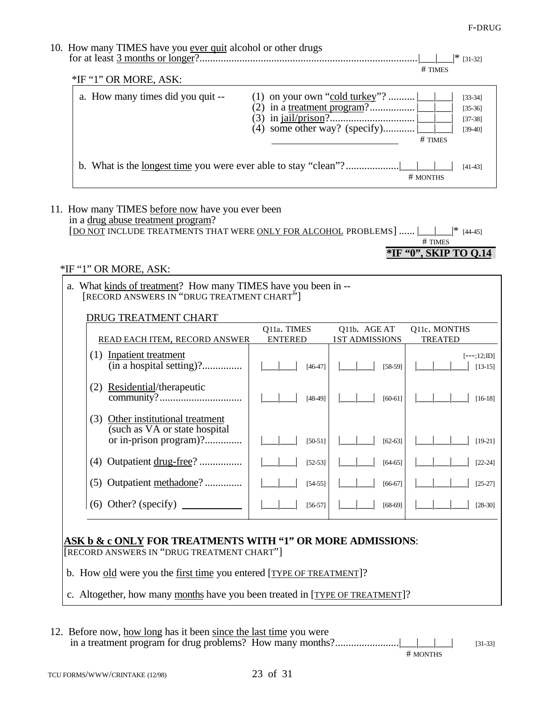F-DRUG

| 10. How many TIMES have you ever quit alcohol or other drugs<br>$*IF$ "1" OR MORE, ASK: |                                                                 | ∣*<br>$[31-32]$<br>$#$ TIMES                     |
|-----------------------------------------------------------------------------------------|-----------------------------------------------------------------|--------------------------------------------------|
| a. How many times did you quit --                                                       | (1) on your own "cold turkey"?<br>(4) some other way? (specify) | $[33-34]$<br>$[35-36]$<br>$[37-38]$<br>$[39-40]$ |
|                                                                                         |                                                                 | # TIMES<br>$[41-43]$<br># MONTHS                 |

# 11. How many TIMES before now have you ever been

| in a drug abuse treatment program? |  |  |
|------------------------------------|--|--|
|                                    |  |  |

# TIMES **\*IF "0", SKIP TO Q.14**

## \*IF "1" OR MORE, ASK:

|                                                                                                                                                                                 | a. What kinds of treatment? How many TIMES have you been in --<br>[RECORD ANSWERS IN "DRUG TREATMENT CHART"] |                |                       |                           |  |
|---------------------------------------------------------------------------------------------------------------------------------------------------------------------------------|--------------------------------------------------------------------------------------------------------------|----------------|-----------------------|---------------------------|--|
|                                                                                                                                                                                 | <b>DRUG TREATMENT CHART</b>                                                                                  |                |                       |                           |  |
|                                                                                                                                                                                 |                                                                                                              | Q11a. TIMES    | Q11b. AGE AT          | Q11c. MONTHS              |  |
|                                                                                                                                                                                 | READ EACH ITEM, RECORD ANSWER                                                                                | <b>ENTERED</b> | <b>1ST ADMISSIONS</b> | <b>TREATED</b>            |  |
|                                                                                                                                                                                 | (1) Inpatient treatment<br>(in a hospital setting)?                                                          | $[46-47]$      | $[58-59]$             | $[--;12;1D]$<br>$[13-15]$ |  |
|                                                                                                                                                                                 | Residential/therapeutic<br>(2)                                                                               | $[48-49]$      | $[60-61]$             | $[16-18]$                 |  |
|                                                                                                                                                                                 | Other institutional treatment<br>(3)<br>(such as VA or state hospital)<br>or in-prison program)?             | $[50-51]$      | $[62 - 63]$           | $[19-21]$                 |  |
|                                                                                                                                                                                 | (4) Outpatient drug-free?                                                                                    | $[52-53]$      | $[64 - 65]$           | $[22-24]$                 |  |
|                                                                                                                                                                                 | (5) Outpatient methadone?                                                                                    | $[54-55]$      | $[66-67]$             | $[25-27]$                 |  |
|                                                                                                                                                                                 |                                                                                                              | $[56-57]$      | $[68-69]$             | $[28-30]$                 |  |
| ASK b & c ONLY FOR TREATMENTS WITH "1" OR MORE ADMISSIONS:<br>[RECORD ANSWERS IN "DRUG TREATMENT CHART"]<br>b. How old were you the first time you entered [TYPE OF TREATMENT]? |                                                                                                              |                |                       |                           |  |
|                                                                                                                                                                                 | c. Altogether, how many months have you been treated in [TYPE OF TREATMENT]?                                 |                |                       |                           |  |

12. Before now, how long has it been since the last time you were in a treatment program for drug problems? How many months?......................|\_\_\_|\_\_\_| [31-33]

# MONTHS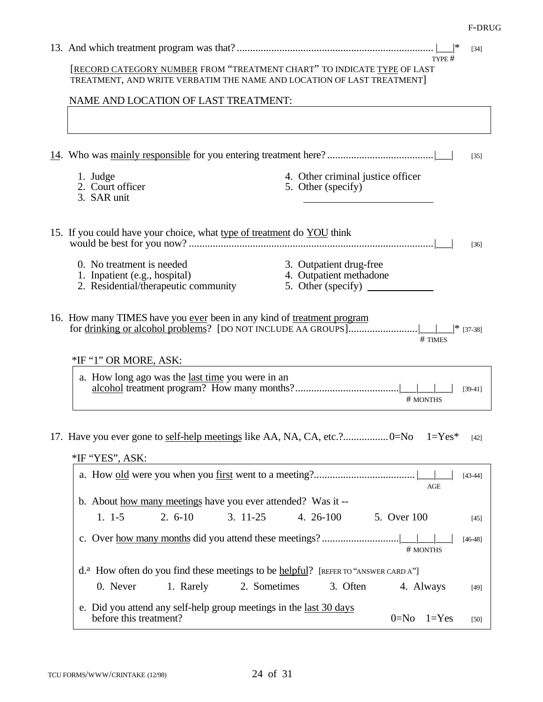F-DRUG

| $[34]$<br>TYPE #                                                                                                                                         |  |  |  |  |  |
|----------------------------------------------------------------------------------------------------------------------------------------------------------|--|--|--|--|--|
| [RECORD CATEGORY NUMBER FROM "TREATMENT CHART" TO INDICATE TYPE OF LAST<br>TREATMENT, AND WRITE VERBATIM THE NAME AND LOCATION OF LAST TREATMENT]        |  |  |  |  |  |
| NAME AND LOCATION OF LAST TREATMENT:                                                                                                                     |  |  |  |  |  |
|                                                                                                                                                          |  |  |  |  |  |
| $[35]$                                                                                                                                                   |  |  |  |  |  |
| 4. Other criminal justice officer<br>1. Judge<br>2. Court officer<br>5. Other (specify)<br>3. SAR unit                                                   |  |  |  |  |  |
| 15. If you could have your choice, what type of treatment do YOU think<br>[36]                                                                           |  |  |  |  |  |
| 0. No treatment is needed<br>3. Outpatient drug-free<br>4. Outpatient methadone<br>1. Inpatient (e.g., hospital)<br>2. Residential/therapeutic community |  |  |  |  |  |
| 16. How many TIMES have you ever been in any kind of treatment program<br># TIMES<br>*IF "1" OR MORE, ASK:                                               |  |  |  |  |  |
| a. How long ago was the <u>last time</u> you were in an<br>$[39-41]$<br># MONTHS                                                                         |  |  |  |  |  |
| $1 = Yes*$<br>$[42]$<br>*IF "YES", ASK:                                                                                                                  |  |  |  |  |  |
| $[43-44]$<br><b>AGE</b>                                                                                                                                  |  |  |  |  |  |
| b. About how many meetings have you ever attended? Was it --                                                                                             |  |  |  |  |  |
| $2.6 - 10$<br>$3.11-25$<br>4. 26-100<br>$1. 1-5$<br>5. Over 100<br>$[45]$                                                                                |  |  |  |  |  |
| $[46-48]$<br># MONTHS                                                                                                                                    |  |  |  |  |  |
| d. <sup>a</sup> How often do you find these meetings to be helpful? [REFER TO "ANSWER CARD A"]                                                           |  |  |  |  |  |
| 2. Sometimes<br>0. Never<br>1. Rarely<br>3. Often<br>4. Always<br>$[49]$                                                                                 |  |  |  |  |  |
| e. Did you attend any self-help group meetings in the <u>last 30 days</u><br>before this treatment?<br>$0 = No$<br>$1 = Yes$<br>$[50]$                   |  |  |  |  |  |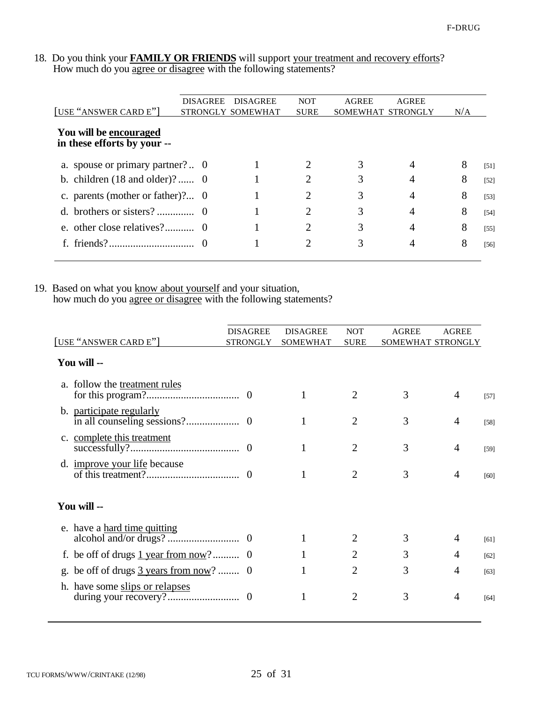#### 18. Do you think your **FAMILY OR FRIENDS** will support your treatment and recovery efforts? How much do you agree or disagree with the following statements?

| [USE "ANSWER CARD E"]                                 | <b>DISAGREE</b> | <b>DISAGREE</b><br>STRONGLY SOMEWHAT | <b>NOT</b><br><b>SURE</b>   | AGREE | <b>AGREE</b><br>SOMEWHAT STRONGLY | N/A |        |
|-------------------------------------------------------|-----------------|--------------------------------------|-----------------------------|-------|-----------------------------------|-----|--------|
| You will be encouraged<br>in these efforts by your -- |                 |                                      |                             |       |                                   |     |        |
| a. spouse or primary partner?  0                      |                 |                                      |                             | 3     | 4                                 | 8   | [51]   |
| b. children $(18$ and older)? 0                       |                 |                                      |                             | 3     |                                   | 8   | $[52]$ |
| c. parents (mother or father)? $\theta$               |                 |                                      | 2                           | 3     | 4                                 | 8   | $[53]$ |
|                                                       |                 |                                      |                             | 3     | 4                                 | 8   | $[54]$ |
|                                                       |                 |                                      | $\mathcal{D}_{\mathcal{A}}$ | 3     | 4                                 | 8   | $[55]$ |
|                                                       |                 |                                      | 2                           | 3     | 4                                 | 8   | $[56]$ |

#### 19. Based on what you know about yourself and your situation, how much do you agree or disagree with the following statements?

|    |                                                                 | <b>DISAGREE</b> | <b>DISAGREE</b> | <b>NOT</b>            | <b>AGREE</b>      | <b>AGREE</b> |        |
|----|-----------------------------------------------------------------|-----------------|-----------------|-----------------------|-------------------|--------------|--------|
|    | [USE "ANSWER CARD E"]                                           | <b>STRONGLY</b> | SOMEWHAT        | <b>SURE</b>           | SOMEWHAT STRONGLY |              |        |
|    | You will --                                                     |                 |                 |                       |                   |              |        |
|    | a. follow the treatment rules                                   |                 |                 |                       | 3                 | 4            | $[57]$ |
|    | b. participate regularly                                        |                 |                 | $\overline{2}$        | 3                 | 4            | $[58]$ |
|    | c. complete this treatment                                      |                 |                 | 2                     | 3                 | 4            | $[59]$ |
|    | d. <i>improve your life</i> because                             |                 |                 | $\mathcal{D}_{\cdot}$ | 3                 | 4            | [60]   |
|    | You will --                                                     |                 |                 |                       |                   |              |        |
|    | e. have a hard time quitting                                    |                 |                 |                       | 3                 | 4            | [61]   |
|    |                                                                 |                 |                 |                       | 3                 | 4            | [62]   |
| g. | be off of drugs $\frac{3 \text{ years from now}}{2 \text{ }}$ 0 |                 |                 | 2                     | 3                 | 4            | [63]   |
|    | h. have some slips or relapses                                  |                 |                 | 2                     | 3                 | 4            | [64]   |
|    |                                                                 |                 |                 |                       |                   |              |        |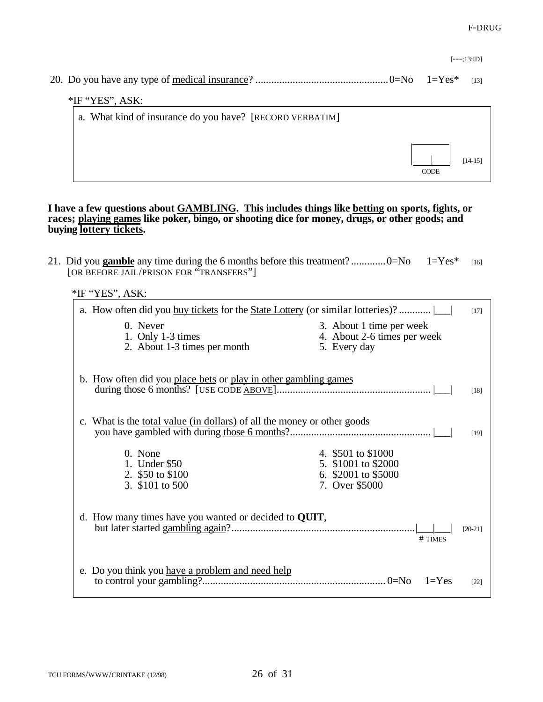|                                                          |             | $[--13:1D]$ |
|----------------------------------------------------------|-------------|-------------|
|                                                          |             | [13]        |
| $*$ IF "YES", ASK:                                       |             |             |
| a. What kind of insurance do you have? [RECORD VERBATIM] |             |             |
|                                                          | <b>CODE</b> | $[14-15]$   |
|                                                          |             |             |

#### **I have a few questions about GAMBLING. This includes things like betting on sports, fights, or races; playing games like poker, bingo, or shooting dice for money, drugs, or other goods; and buying lottery tickets.**

|                 | [OR BEFORE JAIL/PRISON FOR "TRANSFERS"]                                        | 21. Did you gamble any time during the 6 months before this treatment? $0 = No$ $1 = Yes*$ | $[16]$    |
|-----------------|--------------------------------------------------------------------------------|--------------------------------------------------------------------------------------------|-----------|
| *IF "YES", ASK: |                                                                                |                                                                                            |           |
|                 |                                                                                | a. How often did you buy tickets for the State Lottery (or similar lotteries)?             | $[17]$    |
| 0. Never        | 1. Only 1-3 times<br>2. About 1-3 times per month                              | 3. About 1 time per week<br>4. About 2-6 times per week<br>5. Every day                    |           |
|                 | b. How often did you place bets or play in other gambling games                |                                                                                            | $[18]$    |
|                 | c. What is the <u>total value (in dollars)</u> of all the money or other goods |                                                                                            | $[19]$    |
| 0. None         | 1. Under \$50<br>2. \$50 to \$100<br>3. \$101 to 500                           | 4. \$501 to \$1000<br>5. \$1001 to \$2000<br>6. \$2001 to \$5000<br>7. Over \$5000         |           |
|                 | d. How many times have you wanted or decided to QUIT,                          | # TIMES                                                                                    | $[20-21]$ |
|                 | e. Do you think you have a problem and need help                               | $1 = Yes$                                                                                  | $[22]$    |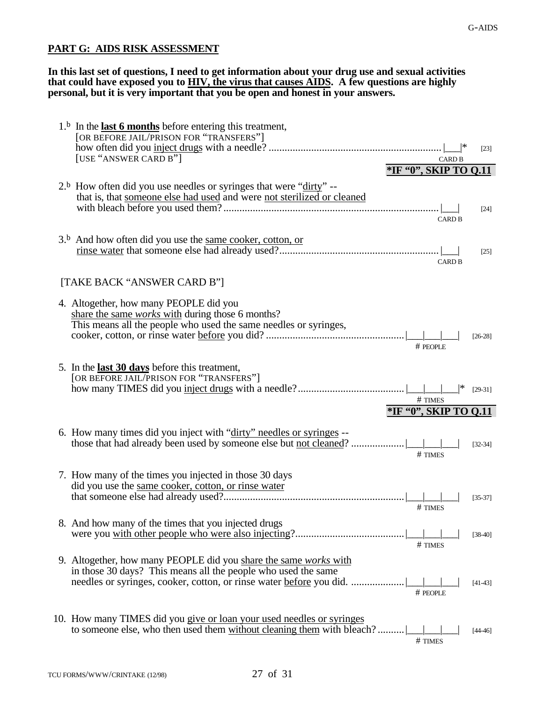# **PART G: AIDS RISK ASSESSMENT**

**In this last set of questions, I need to get information about your drug use and sexual activities that could have exposed you to HIV, the virus that causes AIDS. A few questions are highly personal, but it is very important that you be open and honest in your answers.**

| $1b$ In the <b>last 6 months</b> before entering this treatment,<br>[OR BEFORE JAIL/PRISON FOR "TRANSFERS"]                                                                | [23]        |
|----------------------------------------------------------------------------------------------------------------------------------------------------------------------------|-------------|
| [USE "ANSWER CARD B"]<br><b>CARD B</b>                                                                                                                                     |             |
| *IF '0", SKIP TO Q.11                                                                                                                                                      |             |
| $2b$ How often did you use needles or syringes that were "dirty" --<br>that is, that someone else had used and were not sterilized or cleaned<br><b>CARD B</b>             | $[24]$      |
| $3b$ And how often did you use the <u>same cooker, cotton, or</u><br><b>CARD B</b>                                                                                         | $[25]$      |
| [TAKE BACK "ANSWER CARD B"]                                                                                                                                                |             |
| 4. Altogether, how many PEOPLE did you<br>share the same works with during those 6 months?<br>This means all the people who used the same needles or syringes,<br># PEOPLE | $[26-28]$   |
| 5. In the <b>last 30 days</b> before this treatment,<br>[OR BEFORE JAIL/PRISON FOR "TRANSFERS"]<br># TIMES<br>*IF "0", SKIP TO 0.11                                        | $[29-31]$   |
| 6. How many times did you inject with "dirty" needles or syringes --<br>those that had already been used by someone else but not cleaned?.<br># TIMES                      | $[32 - 34]$ |
| 7. How many of the times you injected in those 30 days<br>did you use the same cooker, cotton, or rinse water<br># TIMES                                                   | $[35-37]$   |
| 8. And how many of the times that you injected drugs<br># TIMES                                                                                                            | $[38-40]$   |
| 9. Altogether, how many PEOPLE did you share the same works with<br>in those 30 days? This means all the people who used the same<br># PEOPLE                              | $[41-43]$   |
| 10. How many TIMES did you give or loan your used needles or syringes<br>to someone else, who then used them without cleaning them with bleach?<br># TIMES                 | $[44-46]$   |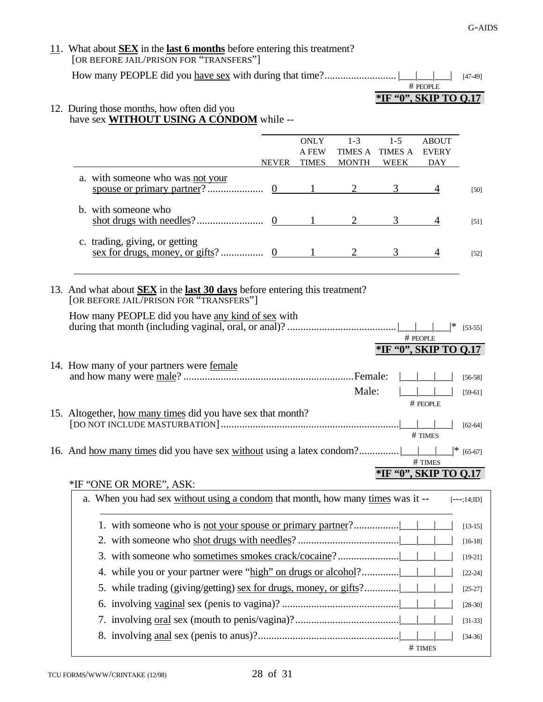| $11.$ What about <b>SEX</b> in the <b>last 6 months</b> before entering this treatment?<br>[OR BEFORE JAIL/PRISON FOR "TRANSFERS"]                                                              |              |                |                       |              |                   |
|-------------------------------------------------------------------------------------------------------------------------------------------------------------------------------------------------|--------------|----------------|-----------------------|--------------|-------------------|
|                                                                                                                                                                                                 |              |                |                       |              | $[47-49]$         |
|                                                                                                                                                                                                 |              |                |                       | # PEOPLE     |                   |
|                                                                                                                                                                                                 |              |                | *IF "0", SKIP TO 0.17 |              |                   |
| 12. During those months, how often did you<br>have sex <b>WITHOUT USING A CONDOM</b> while --                                                                                                   |              |                |                       |              |                   |
|                                                                                                                                                                                                 | <b>ONLY</b>  | $1 - 3$        | $1 - 5$               | <b>ABOUT</b> |                   |
|                                                                                                                                                                                                 | A FEW        | <b>TIMES A</b> | TIMES A               | <b>EVERY</b> |                   |
| <b>NEVER</b>                                                                                                                                                                                    | <b>TIMES</b> | <b>MONTH</b>   | WEEK                  | <b>DAY</b>   |                   |
| a. with someone who was not your                                                                                                                                                                |              |                | 3                     | 4            | $[50]$            |
| b. with someone who                                                                                                                                                                             |              |                |                       |              |                   |
|                                                                                                                                                                                                 |              |                | 3                     | 4            | $[51]$            |
| c. trading, giving, or getting                                                                                                                                                                  |              |                |                       |              |                   |
|                                                                                                                                                                                                 |              |                | 3                     | 4            | $\left[52\right]$ |
|                                                                                                                                                                                                 |              |                |                       |              |                   |
| 13. And what about <b>SEX</b> in the <b>last 30 days</b> before entering this treatment?<br>[OR BEFORE JAIL/PRISON FOR "TRANSFERS"]<br>How many PEOPLE did you have <u>any kind of sex</u> with |              |                |                       |              |                   |
|                                                                                                                                                                                                 |              |                |                       |              | $[53-55]$         |
|                                                                                                                                                                                                 |              |                |                       | # PEOPLE     |                   |
|                                                                                                                                                                                                 |              |                | *IF '0", SKIP TO Q.17 |              |                   |
| 14. How many of your partners were <u>female</u>                                                                                                                                                |              |                |                       |              |                   |
|                                                                                                                                                                                                 |              |                |                       |              | $[56-58]$         |
|                                                                                                                                                                                                 |              | Male:          |                       | # PEOPLE     | $[59-61]$         |
| 15. Altogether, how many times did you have sex that month?                                                                                                                                     |              |                |                       |              |                   |
|                                                                                                                                                                                                 |              |                |                       | # TIMES      | $[62 - 64]$       |
|                                                                                                                                                                                                 |              |                |                       |              |                   |
|                                                                                                                                                                                                 |              |                |                       | # TIMES      | $*$ [65-67]       |
|                                                                                                                                                                                                 |              |                | *IF '0", SKIP TO 0.17 |              |                   |
| *IF "ONE OR MORE", ASK:                                                                                                                                                                         |              |                |                       |              |                   |
| a. When you had sex without using a condom that month, how many times was it --                                                                                                                 |              |                |                       |              | $[--;14;1D]$      |
|                                                                                                                                                                                                 |              |                |                       |              | $[13-15]$         |
|                                                                                                                                                                                                 |              |                |                       |              | $[16-18]$         |
|                                                                                                                                                                                                 |              |                |                       |              | $[19-21]$         |
| 4. while you or your partner were "high" on drugs or alcohol?                                                                                                                                   |              |                |                       |              | $[22-24]$         |
| while trading (giving/getting) sex for drugs, money, or gifts?<br>5.                                                                                                                            |              |                |                       |              | $[25-27]$         |
|                                                                                                                                                                                                 |              |                |                       |              | $[28-30]$         |
|                                                                                                                                                                                                 |              |                |                       |              | $[31 - 33]$       |
|                                                                                                                                                                                                 |              |                |                       |              | $[34-36]$         |
|                                                                                                                                                                                                 |              |                |                       | # TIMES      |                   |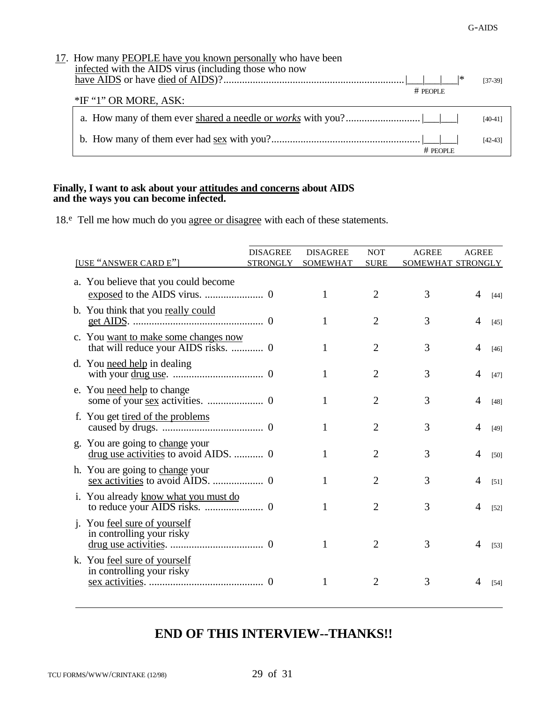| 17. How many <b>PEOPLE</b> have you known personally who have been<br>infected with the AIDS virus (including those who now<br>∣∗<br>$#$ PEOPLE | $[37-39]$ |
|-------------------------------------------------------------------------------------------------------------------------------------------------|-----------|
| *IF "1" OR MORE, ASK:                                                                                                                           |           |
|                                                                                                                                                 | $[40-41]$ |
| $#$ PFOPLE                                                                                                                                      | $[42-43]$ |

#### **Finally, I want to ask about your attitudes and concerns about AIDS and the ways you can become infected.**

18.<sup>e</sup> Tell me how much do you agree or disagree with each of these statements.

|                                                                              | <b>DISAGREE</b> | <b>DISAGREE</b> | <b>NOT</b>     | <b>AGREE</b>      | <b>AGREE</b> |        |
|------------------------------------------------------------------------------|-----------------|-----------------|----------------|-------------------|--------------|--------|
| [USE "ANSWER CARD E"]                                                        | <b>STRONGLY</b> | <b>SOMEWHAT</b> | <b>SURE</b>    | SOMEWHAT STRONGLY |              |        |
| a. You believe that you could become                                         |                 | 1               | $\overline{2}$ | 3                 | 4            | $[44]$ |
| b. You think that you really could                                           |                 |                 | 2              | 3                 | 4            | $[45]$ |
| c. You want to make some changes now<br>that will reduce your AIDS risks.  0 |                 |                 | $\overline{2}$ | 3                 |              | [46]   |
| d. You need help in dealing                                                  |                 | 1               | 2              | 3                 |              | $[47]$ |
| e. You need help to change                                                   |                 | 1               | $\overline{2}$ | 3                 | 4            | $[48]$ |
| f. You get tired of the problems                                             |                 |                 | $\overline{2}$ | 3                 | 4            | $[49]$ |
| g. You are going to change your<br>drug use activities to avoid AIDS.  0     |                 |                 | 2              | 3                 | 4            | $[50]$ |
| h. You are going to change your                                              |                 |                 | 2              | 3                 | 4            | [51]   |
| i. You already know what you must do                                         |                 | 1               | 2              | 3                 | 4            | $[52]$ |
| j. You <u>feel sure of yourself</u><br>in controlling your risky             |                 |                 | $\overline{2}$ | 3                 | 4            | $[53]$ |
| k. You feel sure of yourself<br>in controlling your risky                    |                 |                 |                | 3                 |              | [54]   |

# **END OF THIS INTERVIEW--THANKS!!**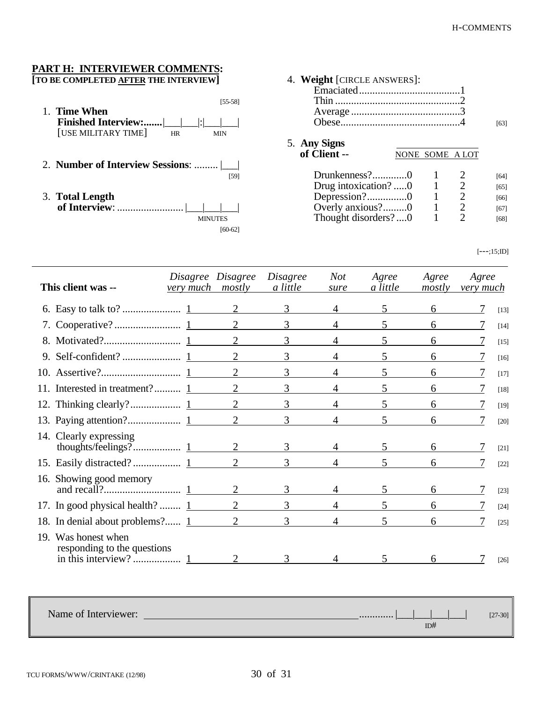# **PART H: INTERVIEWER COMMENTS:**

**[TO BE COMPLETED AFTER THE INTERVIEW]**

 $\overline{a}$ 

| Time When<br><b>Finished Interview:</b>     <br>[USE MILITARY TIME]<br><b>HR</b> | [55-58]<br>MIN    |
|----------------------------------------------------------------------------------|-------------------|
| 2. Number of Interview Sessions:                                                 | [59]              |
| 3. Total Length<br>of Interview:                                                 | MINUTES<br>160-62 |

| 4. Weight [CIRCLE ANSWERS]:  |                 |   |      |
|------------------------------|-----------------|---|------|
|                              |                 |   |      |
|                              |                 |   |      |
|                              |                 |   | [63] |
| 5. Any Signs<br>of Client -- | NONE SOME A LOT |   |      |
| Drunkenness?0                |                 | 2 | [64] |
| Drug intoxication? 0         |                 | 2 | [65] |
| Depression?0                 |                 | 2 | [66] |
| Overly anxious?0             |                 | 2 | [67] |
| Thought disorders?0          |                 |   | [68] |

 $[--;15;{\rm ID}]$ 

|     | This client was --                             | Disagree Disagree<br>very much mostly |                | <i>Disagree</i><br>a little | <b>Not</b><br>sure | Agree<br>a little | Agree<br>mostly | Agree<br>very much |        |
|-----|------------------------------------------------|---------------------------------------|----------------|-----------------------------|--------------------|-------------------|-----------------|--------------------|--------|
|     |                                                |                                       |                | 3                           |                    |                   | 6               |                    | $[13]$ |
|     |                                                |                                       | 2              | 3                           |                    | 5                 | 6               |                    | $[14]$ |
| 8.  |                                                |                                       | $\overline{2}$ | 3                           | 4                  | $\mathfrak{S}$    | 6               |                    | $[15]$ |
|     |                                                |                                       | $\overline{2}$ | 3                           |                    | 5                 | 6               |                    | $[16]$ |
|     |                                                |                                       | $\overline{2}$ | 3                           | 4                  | 5                 | 6               |                    | $[17]$ |
|     | 11. Interested in treatment? 1                 |                                       | 2              | 3                           | 4                  | 5                 | 6               |                    | [18]   |
|     |                                                |                                       |                | 3                           | 4                  | 5.                | 6               |                    | [19]   |
|     |                                                |                                       |                | 3                           | 4                  | $\overline{5}$    | 6               |                    | [20]   |
|     | 14. Clearly expressing                         |                                       |                | 3                           |                    |                   |                 |                    | $[21]$ |
|     |                                                |                                       | 2              | 3                           | 4                  | 5                 | 6               |                    | $[22]$ |
|     | 16. Showing good memory                        |                                       | $\overline{2}$ |                             |                    |                   |                 |                    | $[23]$ |
|     | 17. In good physical health? $1$               |                                       | 2              | 3                           |                    | 5                 | 6               |                    | $[24]$ |
|     | 18. In denial about problems? 1 2              |                                       |                | 3                           | 4                  | 5                 | 6               |                    | $[25]$ |
| 19. | Was honest when<br>responding to the questions |                                       |                |                             |                    |                   | 6 —             |                    | $[26]$ |

Name of Interviewer: ............. |\_\_\_|\_\_\_|\_\_\_|\_\_\_| [27-30]  $ID#$